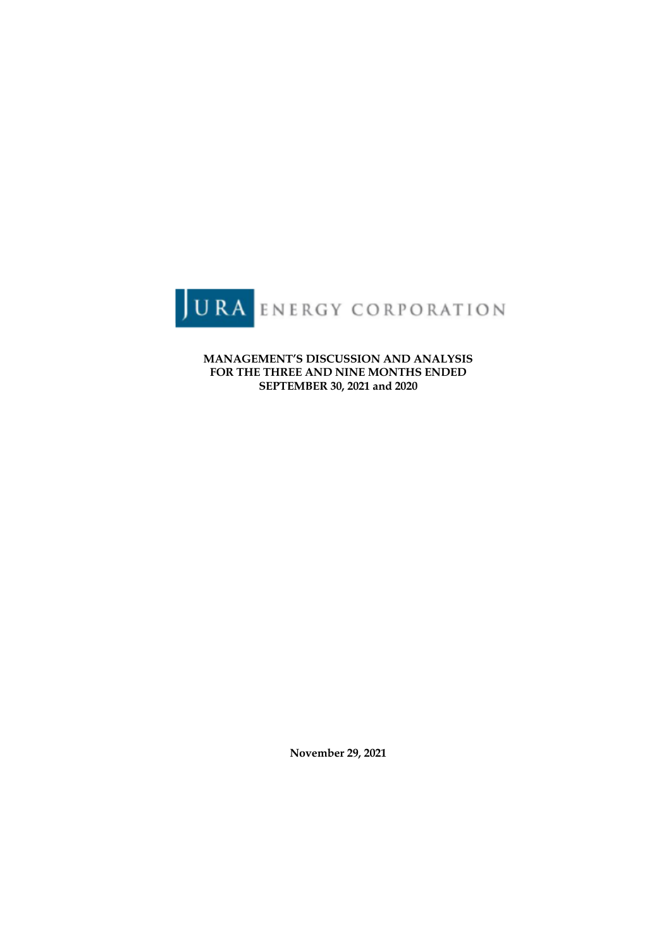

**MANAGEMENT'S DISCUSSION AND ANALYSIS FOR THE THREE AND NINE MONTHS ENDED SEPTEMBER 30, 2021 and 2020**

**November 29, 2021**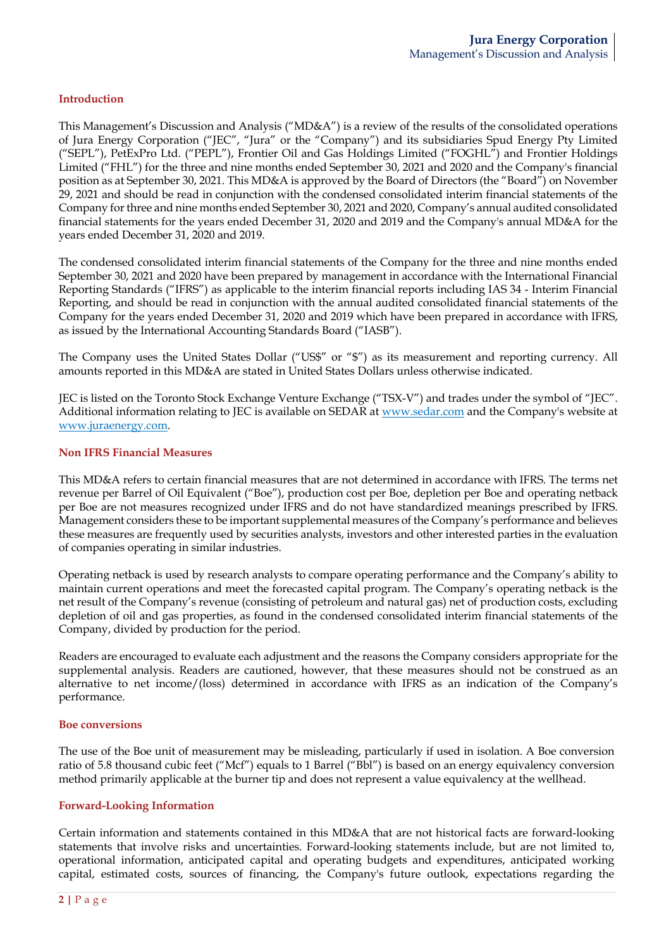### **Introduction**

This Management's Discussion and Analysis ("MD&A") is a review of the results of the consolidated operations of Jura Energy Corporation ("JEC", "Jura" or the "Company") and its subsidiaries Spud Energy Pty Limited ("SEPL"), PetExPro Ltd. ("PEPL"), Frontier Oil and Gas Holdings Limited ("FOGHL") and Frontier Holdings Limited ("FHL") for the three and nine months ended September 30, 2021 and 2020 and the Company's financial position as at September 30, 2021. This MD&A is approved by the Board of Directors (the "Board") on November 29, 2021 and should be read in conjunction with the condensed consolidated interim financial statements of the Company for three and nine months ended September 30, 2021 and 2020, Company's annual audited consolidated financial statements for the years ended December 31, 2020 and 2019 and the Company's annual MD&A for the years ended December 31, 2020 and 2019.

The condensed consolidated interim financial statements of the Company for the three and nine months ended September 30, 2021 and 2020 have been prepared by management in accordance with the International Financial Reporting Standards ("IFRS") as applicable to the interim financial reports including IAS 34 - Interim Financial Reporting, and should be read in conjunction with the annual audited consolidated financial statements of the Company for the years ended December 31, 2020 and 2019 which have been prepared in accordance with IFRS, as issued by the International Accounting Standards Board ("IASB").

The Company uses the United States Dollar ("US\$" or "\$") as its measurement and reporting currency. All amounts reported in this MD&A are stated in United States Dollars unless otherwise indicated.

JEC is listed on the Toronto Stock Exchange Venture Exchange ("TSX-V") and trades under the symbol of "JEC". Additional information relating to JEC is available on SEDAR at www.sedar.com and the Company's website at www.juraenergy.com.

#### **Non IFRS Financial Measures**

This MD&A refers to certain financial measures that are not determined in accordance with IFRS. The terms net revenue per Barrel of Oil Equivalent ("Boe"), production cost per Boe, depletion per Boe and operating netback per Boe are not measures recognized under IFRS and do not have standardized meanings prescribed by IFRS. Management considers these to be important supplemental measures of the Company's performance and believes these measures are frequently used by securities analysts, investors and other interested parties in the evaluation of companies operating in similar industries.

Operating netback is used by research analysts to compare operating performance and the Company's ability to maintain current operations and meet the forecasted capital program. The Company's operating netback is the net result of the Company's revenue (consisting of petroleum and natural gas) net of production costs, excluding depletion of oil and gas properties, as found in the condensed consolidated interim financial statements of the Company, divided by production for the period.

Readers are encouraged to evaluate each adjustment and the reasons the Company considers appropriate for the supplemental analysis. Readers are cautioned, however, that these measures should not be construed as an alternative to net income/(loss) determined in accordance with IFRS as an indication of the Company's performance.

#### **Boe conversions**

The use of the Boe unit of measurement may be misleading, particularly if used in isolation. A Boe conversion ratio of 5.8 thousand cubic feet ("Mcf") equals to 1 Barrel ("Bbl") is based on an energy equivalency conversion method primarily applicable at the burner tip and does not represent a value equivalency at the wellhead.

#### **Forward-Looking Information**

Certain information and statements contained in this MD&A that are not historical facts are forward-looking statements that involve risks and uncertainties. Forward-looking statements include, but are not limited to, operational information, anticipated capital and operating budgets and expenditures, anticipated working capital, estimated costs, sources of financing, the Company's future outlook, expectations regarding the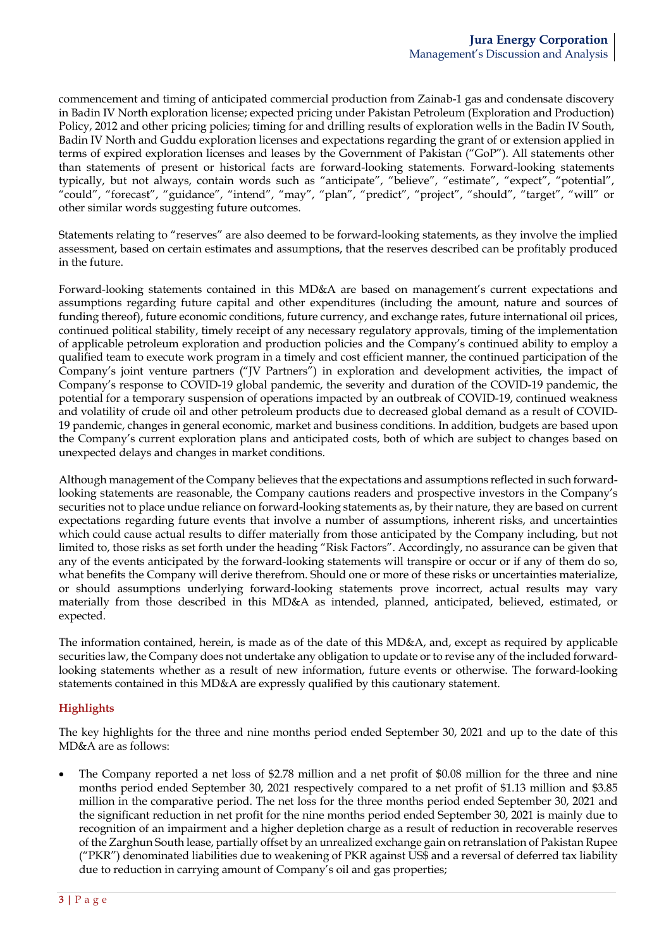commencement and timing of anticipated commercial production from Zainab-1 gas and condensate discovery in Badin IV North exploration license; expected pricing under Pakistan Petroleum (Exploration and Production) Policy, 2012 and other pricing policies; timing for and drilling results of exploration wells in the Badin IV South, Badin IV North and Guddu exploration licenses and expectations regarding the grant of or extension applied in terms of expired exploration licenses and leases by the Government of Pakistan ("GoP"). All statements other than statements of present or historical facts are forward-looking statements. Forward-looking statements typically, but not always, contain words such as "anticipate", "believe", "estimate", "expect", "potential", "could", "forecast", "guidance", "intend", "may", "plan", "predict", "project", "should", "target", "will" or other similar words suggesting future outcomes.

Statements relating to "reserves" are also deemed to be forward-looking statements, as they involve the implied assessment, based on certain estimates and assumptions, that the reserves described can be profitably produced in the future.

Forward-looking statements contained in this MD&A are based on management's current expectations and assumptions regarding future capital and other expenditures (including the amount, nature and sources of funding thereof), future economic conditions, future currency, and exchange rates, future international oil prices, continued political stability, timely receipt of any necessary regulatory approvals, timing of the implementation of applicable petroleum exploration and production policies and the Company's continued ability to employ a qualified team to execute work program in a timely and cost efficient manner, the continued participation of the Company's joint venture partners ("JV Partners") in exploration and development activities, the impact of Company's response to COVID-19 global pandemic, the severity and duration of the COVID-19 pandemic, the potential for a temporary suspension of operations impacted by an outbreak of COVID-19, continued weakness and volatility of crude oil and other petroleum products due to decreased global demand as a result of COVID-19 pandemic, changes in general economic, market and business conditions. In addition, budgets are based upon the Company's current exploration plans and anticipated costs, both of which are subject to changes based on unexpected delays and changes in market conditions.

Although management of the Company believes that the expectations and assumptions reflected in such forwardlooking statements are reasonable, the Company cautions readers and prospective investors in the Company's securities not to place undue reliance on forward-looking statements as, by their nature, they are based on current expectations regarding future events that involve a number of assumptions, inherent risks, and uncertainties which could cause actual results to differ materially from those anticipated by the Company including, but not limited to, those risks as set forth under the heading "Risk Factors". Accordingly, no assurance can be given that any of the events anticipated by the forward-looking statements will transpire or occur or if any of them do so, what benefits the Company will derive therefrom. Should one or more of these risks or uncertainties materialize, or should assumptions underlying forward-looking statements prove incorrect, actual results may vary materially from those described in this MD&A as intended, planned, anticipated, believed, estimated, or expected.

The information contained, herein, is made as of the date of this MD&A, and, except as required by applicable securities law, the Company does not undertake any obligation to update or to revise any of the included forwardlooking statements whether as a result of new information, future events or otherwise. The forward-looking statements contained in this MD&A are expressly qualified by this cautionary statement.

# **Highlights**

The key highlights for the three and nine months period ended September 30, 2021 and up to the date of this MD&A are as follows:

• The Company reported a net loss of \$2.78 million and a net profit of \$0.08 million for the three and nine months period ended September 30, 2021 respectively compared to a net profit of \$1.13 million and \$3.85 million in the comparative period. The net loss for the three months period ended September 30, 2021 and the significant reduction in net profit for the nine months period ended September 30, 2021 is mainly due to recognition of an impairment and a higher depletion charge as a result of reduction in recoverable reserves of the Zarghun South lease, partially offset by an unrealized exchange gain on retranslation of Pakistan Rupee ("PKR") denominated liabilities due to weakening of PKR against US\$ and a reversal of deferred tax liability due to reduction in carrying amount of Company's oil and gas properties;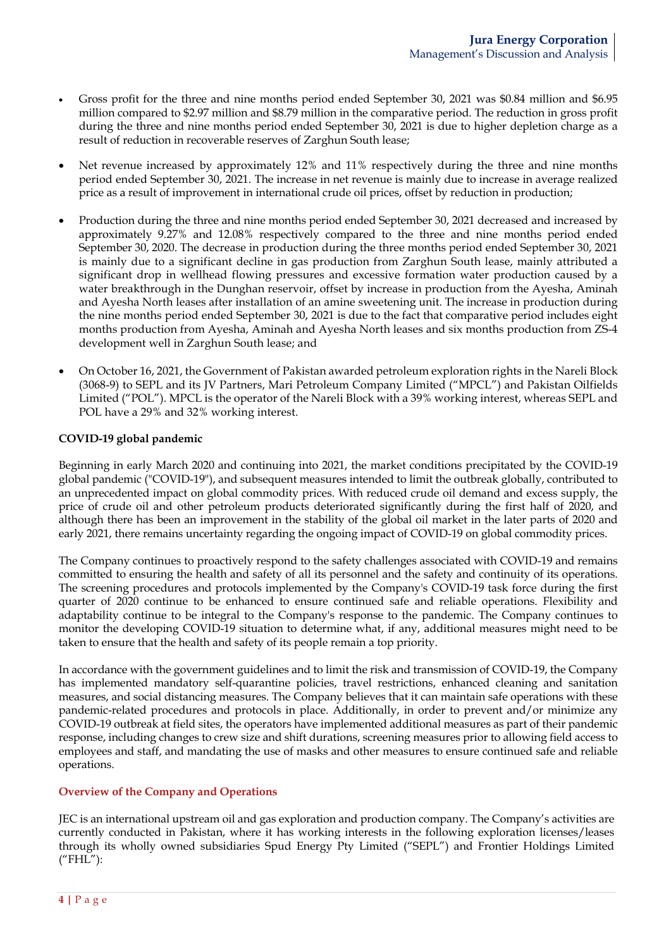- Gross profit for the three and nine months period ended September 30, 2021 was \$0.84 million and \$6.95 million compared to \$2.97 million and \$8.79 million in the comparative period. The reduction in gross profit during the three and nine months period ended September 30, 2021 is due to higher depletion charge as a result of reduction in recoverable reserves of Zarghun South lease;
- Net revenue increased by approximately 12% and 11% respectively during the three and nine months period ended September 30, 2021. The increase in net revenue is mainly due to increase in average realized price as a result of improvement in international crude oil prices, offset by reduction in production;
- Production during the three and nine months period ended September 30, 2021 decreased and increased by approximately 9.27% and 12.08% respectively compared to the three and nine months period ended September 30, 2020. The decrease in production during the three months period ended September 30, 2021 is mainly due to a significant decline in gas production from Zarghun South lease, mainly attributed a significant drop in wellhead flowing pressures and excessive formation water production caused by a water breakthrough in the Dunghan reservoir, offset by increase in production from the Ayesha, Aminah and Ayesha North leases after installation of an amine sweetening unit. The increase in production during the nine months period ended September 30, 2021 is due to the fact that comparative period includes eight months production from Ayesha, Aminah and Ayesha North leases and six months production from ZS-4 development well in Zarghun South lease; and
- On October 16, 2021, the Government of Pakistan awarded petroleum exploration rights in the Nareli Block (3068-9) to SEPL and its JV Partners, Mari Petroleum Company Limited ("MPCL") and Pakistan Oilfields Limited ("POL"). MPCL is the operator of the Nareli Block with a 39% working interest, whereas SEPL and POL have a 29% and 32% working interest.

### **COVID-19 global pandemic**

Beginning in early March 2020 and continuing into 2021, the market conditions precipitated by the COVID-19 global pandemic ("COVID-19"), and subsequent measures intended to limit the outbreak globally, contributed to an unprecedented impact on global commodity prices. With reduced crude oil demand and excess supply, the price of crude oil and other petroleum products deteriorated significantly during the first half of 2020, and although there has been an improvement in the stability of the global oil market in the later parts of 2020 and early 2021, there remains uncertainty regarding the ongoing impact of COVID-19 on global commodity prices.

The Company continues to proactively respond to the safety challenges associated with COVID-19 and remains committed to ensuring the health and safety of all its personnel and the safety and continuity of its operations. The screening procedures and protocols implemented by the Company's COVID-19 task force during the first quarter of 2020 continue to be enhanced to ensure continued safe and reliable operations. Flexibility and adaptability continue to be integral to the Company's response to the pandemic. The Company continues to monitor the developing COVID-19 situation to determine what, if any, additional measures might need to be taken to ensure that the health and safety of its people remain a top priority.

In accordance with the government guidelines and to limit the risk and transmission of COVID-19, the Company has implemented mandatory self-quarantine policies, travel restrictions, enhanced cleaning and sanitation measures, and social distancing measures. The Company believes that it can maintain safe operations with these pandemic-related procedures and protocols in place. Additionally, in order to prevent and/or minimize any COVID-19 outbreak at field sites, the operators have implemented additional measures as part of their pandemic response, including changes to crew size and shift durations, screening measures prior to allowing field access to employees and staff, and mandating the use of masks and other measures to ensure continued safe and reliable operations.

### **Overview of the Company and Operations**

JEC is an international upstream oil and gas exploration and production company. The Company's activities are currently conducted in Pakistan, where it has working interests in the following exploration licenses/leases through its wholly owned subsidiaries Spud Energy Pty Limited ("SEPL") and Frontier Holdings Limited ("FHL"):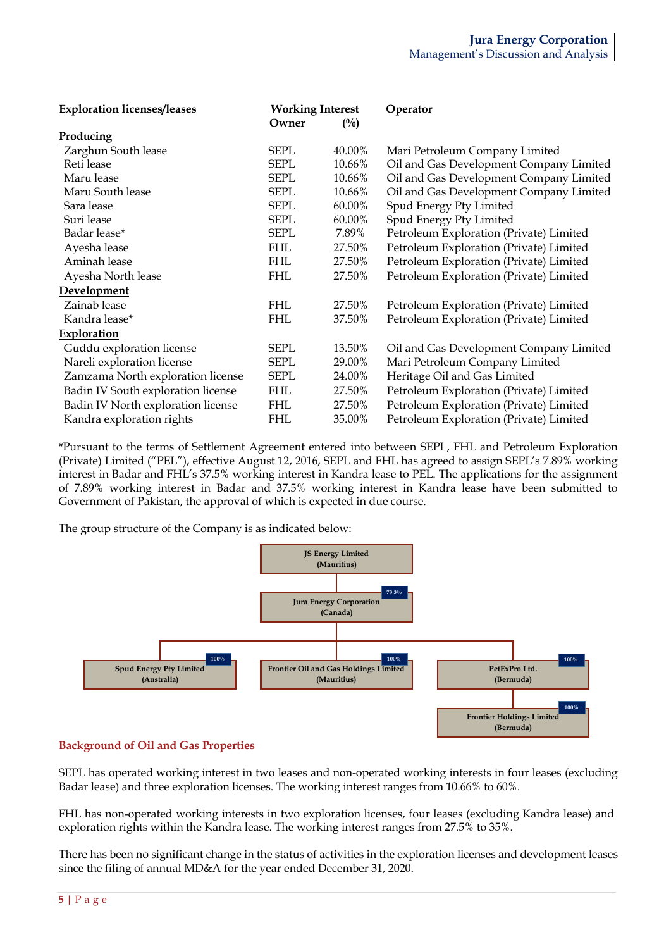| <b>Exploration licenses/leases</b> | <b>Working Interest</b> |                | Operator                                |  |
|------------------------------------|-------------------------|----------------|-----------------------------------------|--|
|                                    | Owner                   | $\binom{0}{0}$ |                                         |  |
| Producing                          |                         |                |                                         |  |
| Zarghun South lease                | <b>SEPL</b>             | 40.00%         | Mari Petroleum Company Limited          |  |
| Reti lease                         | <b>SEPL</b>             | 10.66%         | Oil and Gas Development Company Limited |  |
| Maru lease                         | <b>SEPL</b>             | 10.66%         | Oil and Gas Development Company Limited |  |
| Maru South lease                   | <b>SEPL</b>             | 10.66%         | Oil and Gas Development Company Limited |  |
| Sara lease                         | <b>SEPL</b>             | 60.00%         | Spud Energy Pty Limited                 |  |
| Suri lease                         | <b>SEPL</b>             | 60.00%         | Spud Energy Pty Limited                 |  |
| Badar lease*                       | <b>SEPL</b>             | 7.89%          | Petroleum Exploration (Private) Limited |  |
| Ayesha lease                       | <b>FHL</b>              | 27.50%         | Petroleum Exploration (Private) Limited |  |
| Aminah lease                       | <b>FHL</b>              | 27.50%         | Petroleum Exploration (Private) Limited |  |
| Ayesha North lease                 | <b>FHL</b>              | 27.50%         | Petroleum Exploration (Private) Limited |  |
| Development                        |                         |                |                                         |  |
| Zainab lease                       | <b>FHL</b>              | 27.50%         | Petroleum Exploration (Private) Limited |  |
| Kandra lease*                      | <b>FHL</b>              | 37.50%         | Petroleum Exploration (Private) Limited |  |
| <b>Exploration</b>                 |                         |                |                                         |  |
| Guddu exploration license          | <b>SEPL</b>             | 13.50%         | Oil and Gas Development Company Limited |  |
| Nareli exploration license         | <b>SEPL</b>             | 29.00%         | Mari Petroleum Company Limited          |  |
| Zamzama North exploration license  | <b>SEPL</b>             | 24.00%         | Heritage Oil and Gas Limited            |  |
| Badin IV South exploration license | FHL.                    | 27.50%         | Petroleum Exploration (Private) Limited |  |
| Badin IV North exploration license | FHL                     | 27.50%         | Petroleum Exploration (Private) Limited |  |
| Kandra exploration rights          | <b>FHL</b>              | 35.00%         | Petroleum Exploration (Private) Limited |  |

\*Pursuant to the terms of Settlement Agreement entered into between SEPL, FHL and Petroleum Exploration (Private) Limited ("PEL"), effective August 12, 2016, SEPL and FHL has agreed to assign SEPL's 7.89% working interest in Badar and FHL's 37.5% working interest in Kandra lease to PEL. The applications for the assignment of 7.89% working interest in Badar and 37.5% working interest in Kandra lease have been submitted to Government of Pakistan, the approval of which is expected in due course.

The group structure of the Company is as indicated below:



### **Background of Oil and Gas Properties**

SEPL has operated working interest in two leases and non-operated working interests in four leases (excluding Badar lease) and three exploration licenses. The working interest ranges from 10.66% to 60%.

FHL has non-operated working interests in two exploration licenses, four leases (excluding Kandra lease) and exploration rights within the Kandra lease. The working interest ranges from 27.5% to 35%.

There has been no significant change in the status of activities in the exploration licenses and development leases since the filing of annual MD&A for the year ended December 31, 2020.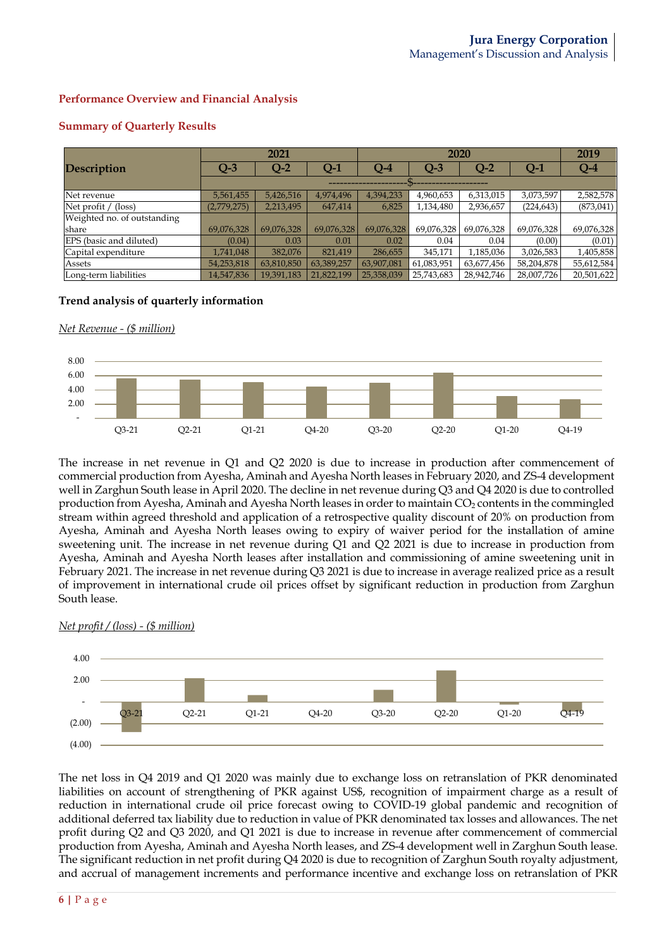# **Performance Overview and Financial Analysis**

|                             |             | 2021       |            |            | 2020       |            |            |            |
|-----------------------------|-------------|------------|------------|------------|------------|------------|------------|------------|
| <b>Description</b>          | Q-3         | $Q-2$      | Q-1        | O-4        | $Q-3$      | $Q-2$      | $Q-1$      | $Q-4$      |
|                             |             |            |            |            |            |            |            |            |
| Net revenue                 | 5,561,455   | 5,426,516  | 4,974,496  | 4,394,233  | 4,960,653  | 6,313,015  | 3,073,597  | 2,582,578  |
| Net profit $/$ (loss)       | (2,779,275) | 2,213,495  | 647,414    | 6,825      | 1,134,480  | 2,936,657  | (224, 643) | (873, 041) |
| Weighted no. of outstanding |             |            |            |            |            |            |            |            |
| share                       | 69,076,328  | 69,076,328 | 69,076,328 | 69,076,328 | 69,076,328 | 69,076,328 | 69,076,328 | 69,076,328 |
| EPS (basic and diluted)     | (0.04)      | 0.03       | 0.01       | 0.02       | 0.04       | 0.04       | (0.00)     | (0.01)     |
| Capital expenditure         | 1,741,048   | 382,076    | 821,419    | 286,655    | 345,171    | 1,185,036  | 3,026,583  | 1,405,858  |
| Assets                      | 54,253,818  | 63,810,850 | 63,389,257 | 63,907,081 | 61,083,951 | 63,677,456 | 58,204,878 | 55,612,584 |
| Long-term liabilities       | 14,547,836  | 19,391,183 | 21,822,199 | 25,358,039 | 25,743,683 | 28,942,746 | 28,007,726 | 20,501,622 |

## **Summary of Quarterly Results**

# **Trend analysis of quarterly information**

### *Net Revenue - (\$ million)*



The increase in net revenue in Q1 and Q2 2020 is due to increase in production after commencement of commercial production from Ayesha, Aminah and Ayesha North leases in February 2020, and ZS-4 development well in Zarghun South lease in April 2020. The decline in net revenue during Q3 and Q4 2020 is due to controlled production from Ayesha, Aminah and Ayesha North leases in order to maintain CO<sub>2</sub> contents in the commingled stream within agreed threshold and application of a retrospective quality discount of 20% on production from Ayesha, Aminah and Ayesha North leases owing to expiry of waiver period for the installation of amine sweetening unit. The increase in net revenue during Q1 and Q2 2021 is due to increase in production from Ayesha, Aminah and Ayesha North leases after installation and commissioning of amine sweetening unit in February 2021. The increase in net revenue during Q3 2021 is due to increase in average realized price as a result of improvement in international crude oil prices offset by significant reduction in production from Zarghun South lease.



#### *Net profit / (loss) - (\$ million)*

The net loss in Q4 2019 and Q1 2020 was mainly due to exchange loss on retranslation of PKR denominated liabilities on account of strengthening of PKR against US\$, recognition of impairment charge as a result of reduction in international crude oil price forecast owing to COVID-19 global pandemic and recognition of additional deferred tax liability due to reduction in value of PKR denominated tax losses and allowances. The net profit during Q2 and Q3 2020, and Q1 2021 is due to increase in revenue after commencement of commercial production from Ayesha, Aminah and Ayesha North leases, and ZS-4 development well in Zarghun South lease. The significant reduction in net profit during Q4 2020 is due to recognition of Zarghun South royalty adjustment, and accrual of management increments and performance incentive and exchange loss on retranslation of PKR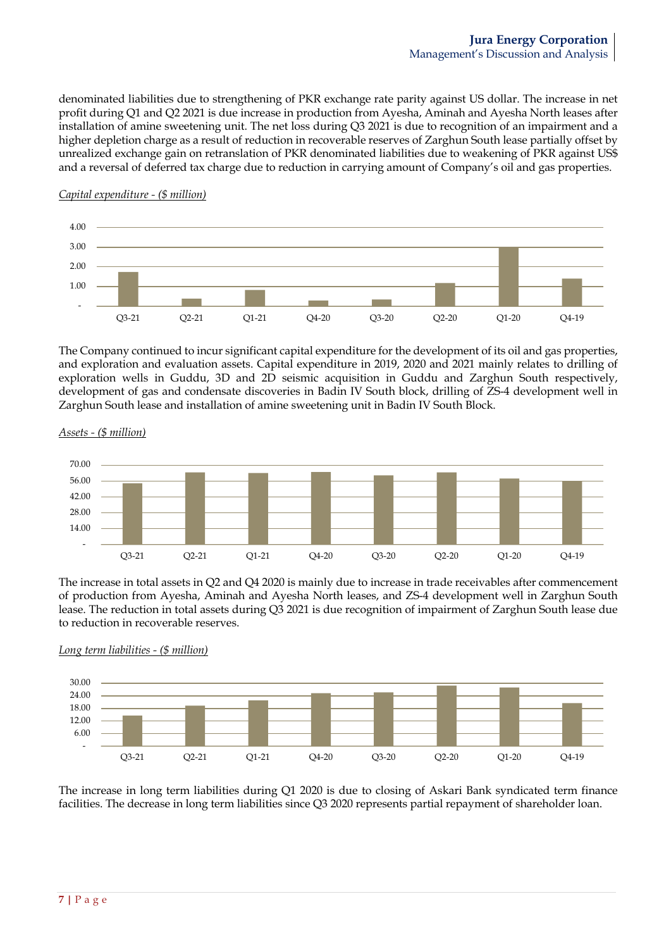denominated liabilities due to strengthening of PKR exchange rate parity against US dollar. The increase in net profit during Q1 and Q2 2021 is due increase in production from Ayesha, Aminah and Ayesha North leases after installation of amine sweetening unit. The net loss during Q3 2021 is due to recognition of an impairment and a higher depletion charge as a result of reduction in recoverable reserves of Zarghun South lease partially offset by unrealized exchange gain on retranslation of PKR denominated liabilities due to weakening of PKR against US\$ and a reversal of deferred tax charge due to reduction in carrying amount of Company's oil and gas properties.

### *Capital expenditure - (\$ million)*



The Company continued to incur significant capital expenditure for the development of its oil and gas properties, and exploration and evaluation assets. Capital expenditure in 2019, 2020 and 2021 mainly relates to drilling of exploration wells in Guddu, 3D and 2D seismic acquisition in Guddu and Zarghun South respectively, development of gas and condensate discoveries in Badin IV South block, drilling of ZS-4 development well in Zarghun South lease and installation of amine sweetening unit in Badin IV South Block.



*Assets - (\$ million)*

The increase in total assets in Q2 and Q4 2020 is mainly due to increase in trade receivables after commencement of production from Ayesha, Aminah and Ayesha North leases, and ZS-4 development well in Zarghun South lease. The reduction in total assets during Q3 2021 is due recognition of impairment of Zarghun South lease due to reduction in recoverable reserves.

*Long term liabilities - (\$ million)*



The increase in long term liabilities during Q1 2020 is due to closing of Askari Bank syndicated term finance facilities. The decrease in long term liabilities since Q3 2020 represents partial repayment of shareholder loan.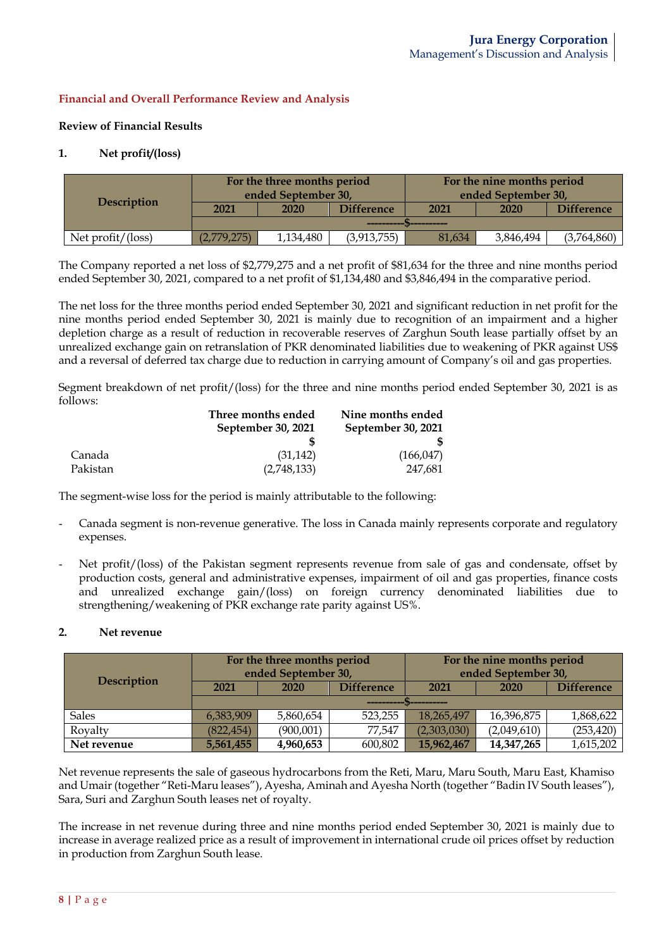# **Financial and Overall Performance Review and Analysis**

### **Review of Financial Results**

### **1. Net profit/(loss)**

| <b>Description</b>   |             | For the three months period<br>ended September 30, |                   | For the nine months period<br>ended September 30, |           |             |
|----------------------|-------------|----------------------------------------------------|-------------------|---------------------------------------------------|-----------|-------------|
|                      | 2021        | 2020                                               | <b>Difference</b> | <b>Difference</b><br>2021<br>2020                 |           |             |
|                      |             |                                                    |                   |                                                   |           |             |
| Net $profit/$ (loss) | (2,779,275) | 1,134,480                                          | (3,913,755)       | 81.634                                            | 3,846,494 | (3,764,860) |

The Company reported a net loss of \$2,779,275 and a net profit of \$81,634 for the three and nine months period ended September 30, 2021, compared to a net profit of \$1,134,480 and \$3,846,494 in the comparative period.

The net loss for the three months period ended September 30, 2021 and significant reduction in net profit for the nine months period ended September 30, 2021 is mainly due to recognition of an impairment and a higher depletion charge as a result of reduction in recoverable reserves of Zarghun South lease partially offset by an unrealized exchange gain on retranslation of PKR denominated liabilities due to weakening of PKR against US\$ and a reversal of deferred tax charge due to reduction in carrying amount of Company's oil and gas properties.

Segment breakdown of net profit/(loss) for the three and nine months period ended September 30, 2021 is as follows:

|          | Three months ended | Nine months ended  |
|----------|--------------------|--------------------|
|          | September 30, 2021 | September 30, 2021 |
|          |                    |                    |
| Canada   | (31, 142)          | (166, 047)         |
| Pakistan | (2,748,133)        | 247,681            |

The segment-wise loss for the period is mainly attributable to the following:

- Canada segment is non-revenue generative. The loss in Canada mainly represents corporate and regulatory expenses.
- Net profit/(loss) of the Pakistan segment represents revenue from sale of gas and condensate, offset by production costs, general and administrative expenses, impairment of oil and gas properties, finance costs and unrealized exchange gain/(loss) on foreign currency denominated liabilities due to strengthening/weakening of PKR exchange rate parity against US%.

### **2. Net revenue**

|                    | For the three months period<br>ended September 30, |                                                                 |                   | For the nine months period<br>ended September 30, |            |                   |  |  |
|--------------------|----------------------------------------------------|-----------------------------------------------------------------|-------------------|---------------------------------------------------|------------|-------------------|--|--|
| <b>Description</b> | 2021                                               | 2020                                                            | <b>Difference</b> | 2021                                              | 2020       | <b>Difference</b> |  |  |
|                    |                                                    |                                                                 |                   |                                                   |            |                   |  |  |
| <b>Sales</b>       | 6,383,909                                          | 5,860,654                                                       | 523,255           | 18,265,497                                        | 16,396,875 | 1,868,622         |  |  |
| Royalty            | (822, 454)                                         | (253, 420)<br>(2,303,030)<br>(900,001)<br>77,547<br>(2,049,610) |                   |                                                   |            |                   |  |  |
| Net revenue        | 5,561,455                                          | 4,960,653                                                       | 600,802           | 15,962,467                                        | 14,347,265 | 1,615,202         |  |  |

Net revenue represents the sale of gaseous hydrocarbons from the Reti, Maru, Maru South, Maru East, Khamiso and Umair(together "Reti-Maru leases"), Ayesha, Aminah and Ayesha North (together "Badin IV South leases"), Sara, Suri and Zarghun South leases net of royalty.

The increase in net revenue during three and nine months period ended September 30, 2021 is mainly due to increase in average realized price as a result of improvement in international crude oil prices offset by reduction in production from Zarghun South lease.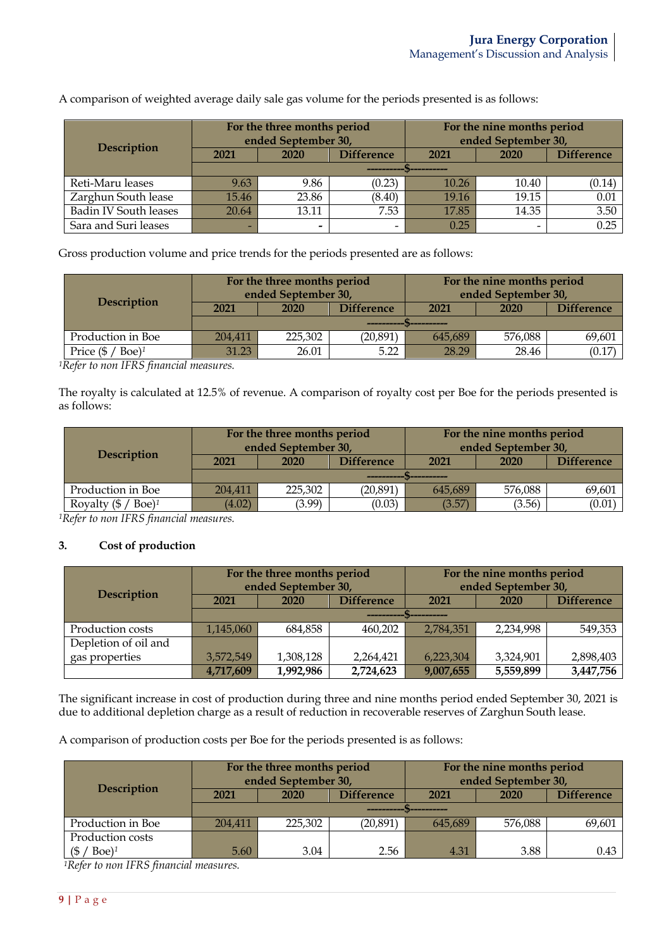A comparison of weighted average daily sale gas volume for the periods presented is as follows:

| <b>Description</b>           |       | For the three months period<br>ended September 30, |                   | For the nine months period<br>ended September 30, |       |                   |  |  |
|------------------------------|-------|----------------------------------------------------|-------------------|---------------------------------------------------|-------|-------------------|--|--|
|                              | 2021  | 2020                                               | <b>Difference</b> | 2021                                              | 2020  | <b>Difference</b> |  |  |
|                              |       |                                                    |                   |                                                   |       |                   |  |  |
| Reti-Maru leases             | 9.63  | 9.86                                               | (0.23)            | 10.26                                             | 10.40 | (0.14)            |  |  |
| Zarghun South lease          | 15.46 | 23.86                                              | (8.40)            | 19.16                                             | 19.15 | 0.01              |  |  |
| <b>Badin IV South leases</b> | 20.64 | 13.11                                              | 7.53              | 17.85                                             | 14.35 | 3.50              |  |  |
| Sara and Suri leases         |       | -                                                  | -                 | 0.25                                              |       | 0.25              |  |  |

Gross production volume and price trends for the periods presented are as follows:

| Description                              |                                   | For the three months period<br>ended September 30, |           |         | For the nine months period<br>ended September 30, |                   |
|------------------------------------------|-----------------------------------|----------------------------------------------------|-----------|---------|---------------------------------------------------|-------------------|
|                                          | <b>Difference</b><br>2021<br>2020 |                                                    |           | 2021    | 2020                                              | <b>Difference</b> |
|                                          |                                   |                                                    |           |         |                                                   |                   |
| Production in Boe                        | 204,411                           | 225,302                                            | (20, 891) | 645,689 | 576,088                                           | 69,601            |
| Price $(\frac{6}{5}$ / Boe) <sup>1</sup> | 31.23                             | 26.01                                              | 5.22      | 28.29   | 28.46                                             | (0.17)            |

*1Refer to non IFRS financial measures.*

The royalty is calculated at 12.5% of revenue. A comparison of royalty cost per Boe for the periods presented is as follows:

|                                            | For the three months period<br>ended September 30, |         |            | For the nine months period<br>ended September 30, |             |                   |
|--------------------------------------------|----------------------------------------------------|---------|------------|---------------------------------------------------|-------------|-------------------|
| <b>Description</b>                         | 2021                                               | 2020    | Difference | 2021                                              | <b>2020</b> | <b>Difference</b> |
|                                            |                                                    |         |            |                                                   |             |                   |
| Production in Boe                          | 204,411                                            | 225,302 | (20, 891)  | 645.689                                           | 576,088     | 69,601            |
| Royalty $(\frac{6}{5}$ / Boe) <sup>1</sup> | (4.02)                                             | (3.99)  | (0.03)     | (3.57)                                            | (3.56)      | (0.01)            |

*1Refer to non IFRS financial measures.*

### **3. Cost of production**

| <b>Description</b>   |           | For the three months period<br>ended September 30, |                   | For the nine months period<br>ended September 30, |           |           |
|----------------------|-----------|----------------------------------------------------|-------------------|---------------------------------------------------|-----------|-----------|
|                      | 2021      | <b>2020</b>                                        | <b>Difference</b> | <b>Difference</b><br>2021<br><b>2020</b>          |           |           |
|                      |           |                                                    |                   |                                                   |           |           |
| Production costs     | 1,145,060 | 684,858                                            | 460,202           | 2,784,351                                         | 2,234,998 | 549,353   |
| Depletion of oil and |           |                                                    |                   |                                                   |           |           |
| gas properties       | 3,572,549 | 1,308,128                                          | 2,264,421         | 6,223,304                                         | 3,324,901 | 2,898,403 |
|                      | 4,717,609 | 1,992,986                                          | 2,724,623         | 9,007,655                                         | 5,559,899 | 3,447,756 |

The significant increase in cost of production during three and nine months period ended September 30, 2021 is due to additional depletion charge as a result of reduction in recoverable reserves of Zarghun South lease.

A comparison of production costs per Boe for the periods presented is as follows:

|                           |         | For the three months period<br>ended September 30, |                   | For the nine months period<br>ended September 30, |         |                   |  |
|---------------------------|---------|----------------------------------------------------|-------------------|---------------------------------------------------|---------|-------------------|--|
| Description               | 2021    | <b>2020</b>                                        | <b>Difference</b> | 2021                                              | 2020    | <b>Difference</b> |  |
|                           |         |                                                    |                   |                                                   |         |                   |  |
| Production in Boe         | 204,411 | 225,302                                            | (20, 891)         | 645,689                                           | 576,088 | 69,601            |  |
| Production costs          |         |                                                    |                   |                                                   |         |                   |  |
| (\$<br>$Boe$ <sup>1</sup> | 5.60    | 3.04                                               | 2.56              | 4.31                                              | 3.88    | 0.43              |  |

*1Refer to non IFRS financial measures.*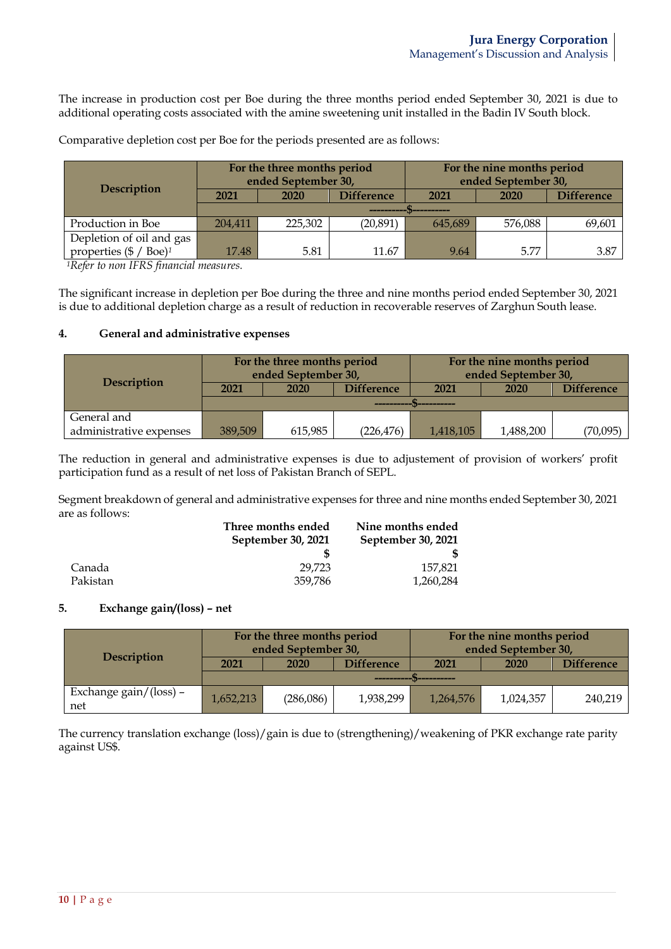The increase in production cost per Boe during the three months period ended September 30, 2021 is due to additional operating costs associated with the amine sweetening unit installed in the Badin IV South block.

| Description                                   |         | For the three months period<br>ended September 30, |                   | For the nine months period<br>ended September 30, |         |                   |
|-----------------------------------------------|---------|----------------------------------------------------|-------------------|---------------------------------------------------|---------|-------------------|
|                                               | 2021    | 2020                                               | <b>Difference</b> | 2021                                              | 2020    | <b>Difference</b> |
|                                               |         |                                                    |                   |                                                   |         |                   |
| Production in Boe                             | 204,411 | 225,302                                            | (20, 891)         | 645,689                                           | 576,088 | 69,601            |
| Depletion of oil and gas                      |         |                                                    |                   |                                                   |         |                   |
| properties $(\frac{6}{3}$ / Boe) <sup>1</sup> | 17.48   | 5.81                                               | 11.67             | 9.64                                              | 5.77    | 3.87              |

Comparative depletion cost per Boe for the periods presented are as follows:

*1Refer to non IFRS financial measures.*

The significant increase in depletion per Boe during the three and nine months period ended September 30, 2021 is due to additional depletion charge as a result of reduction in recoverable reserves of Zarghun South lease.

### **4. General and administrative expenses**

|                         |         | For the three months period<br>ended September 30, |                   | For the nine months period<br>ended September 30, |           |          |
|-------------------------|---------|----------------------------------------------------|-------------------|---------------------------------------------------|-----------|----------|
| <b>Description</b>      | 2021    | <b>2020</b>                                        | <b>Difference</b> | <b>Difference</b><br>2020<br>2021                 |           |          |
|                         |         |                                                    |                   |                                                   |           |          |
| General and             |         |                                                    |                   |                                                   |           |          |
| administrative expenses | 389,509 | 615,985                                            | (226, 476)        | 1,418,105                                         | 1,488,200 | (70,095) |

The reduction in general and administrative expenses is due to adjustement of provision of workers' profit participation fund as a result of net loss of Pakistan Branch of SEPL.

Segment breakdown of general and administrative expenses for three and nine months ended September 30, 2021 are as follows:

|          | Three months ended | Nine months ended  |
|----------|--------------------|--------------------|
|          | September 30, 2021 | September 30, 2021 |
|          |                    |                    |
| Canada   | 29.723             | 157.821            |
| Pakistan | 359.786            | 1,260,284          |

#### **5. Exchange gain/(loss) – net**

|                               | For the three months period<br>ended September 30, |           |            | For the nine months period<br>ended September 30, |           |                   |
|-------------------------------|----------------------------------------------------|-----------|------------|---------------------------------------------------|-----------|-------------------|
| <b>Description</b>            | 2021                                               | 2020      | Difference | 2021                                              | 2020      | <b>Difference</b> |
|                               | .                                                  |           |            |                                                   |           |                   |
| Exchange gain/(loss) -<br>net | 1,652,213                                          | (286,086) | 1,938,299  | 1,264,576                                         | 1,024,357 | 240.219           |

The currency translation exchange (loss)/gain is due to (strengthening)/weakening of PKR exchange rate parity against US\$.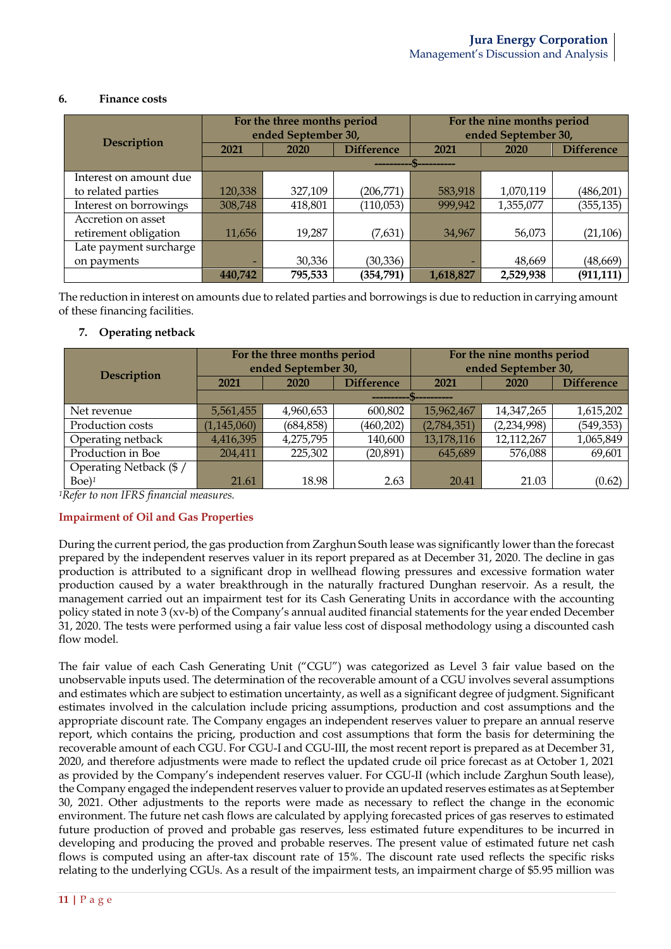### **6. Finance costs**

|                        |         | For the three months period<br>ended September 30, | For the nine months period<br>ended September 30, |           |           |                   |
|------------------------|---------|----------------------------------------------------|---------------------------------------------------|-----------|-----------|-------------------|
| Description            | 2021    | 2020                                               | <b>Difference</b>                                 | 2021      | 2020      | <b>Difference</b> |
|                        |         |                                                    |                                                   |           |           |                   |
| Interest on amount due |         |                                                    |                                                   |           |           |                   |
| to related parties     | 120,338 | 327,109                                            | (206,771)                                         | 583,918   | 1,070,119 | (486, 201)        |
| Interest on borrowings | 308,748 | 418,801                                            | (110, 053)                                        | 999,942   | 1,355,077 | (355, 135)        |
| Accretion on asset     |         |                                                    |                                                   |           |           |                   |
| retirement obligation  | 11,656  | 19,287                                             | (7,631)                                           | 34,967    | 56,073    | (21, 106)         |
| Late payment surcharge |         |                                                    |                                                   |           |           |                   |
| on payments            |         | 30,336                                             | (30, 336)                                         |           | 48,669    | (48, 669)         |
|                        | 440,742 | 795,533                                            | (354, 791)                                        | 1,618,827 | 2,529,938 | (911, 111)        |

The reduction in interest on amounts due to related parties and borrowings is due to reduction in carrying amount of these financing facilities.

### **7. Operating netback**

|                        | For the three months period                |            | For the nine months period |             |             |                   |
|------------------------|--------------------------------------------|------------|----------------------------|-------------|-------------|-------------------|
| <b>Description</b>     | ended September 30,<br>ended September 30, |            |                            |             |             |                   |
|                        | 2021                                       | 2020       | <b>Difference</b>          | 2021        | 2020        | <b>Difference</b> |
|                        |                                            |            |                            |             |             |                   |
| Net revenue            | 5,561,455                                  | 4,960,653  | 600,802                    | 15,962,467  | 14,347,265  | 1,615,202         |
| Production costs       | (1, 145, 060)                              | (684, 858) | (460,202)                  | (2,784,351) | (2,234,998) | (549, 353)        |
| Operating netback      | 4,416,395                                  | 4,275,795  | 140,600                    | 13,178,116  | 12,112,267  | 1,065,849         |
| Production in Boe      | 204,411                                    | 225,302    | (20, 891)                  | 645,689     | 576,088     | 69,601            |
| Operating Netback (\$/ |                                            |            |                            |             |             |                   |
| $Boe$ <sup>1</sup>     | 21.61                                      | 18.98      | 2.63                       | 20.41       | 21.03       | (0.62)            |

*1Refer to non IFRS financial measures.*

### **Impairment of Oil and Gas Properties**

During the current period, the gas production from Zarghun South lease was significantly lower than the forecast prepared by the independent reserves valuer in its report prepared as at December 31, 2020. The decline in gas production is attributed to a significant drop in wellhead flowing pressures and excessive formation water production caused by a water breakthrough in the naturally fractured Dunghan reservoir. As a result, the management carried out an impairment test for its Cash Generating Units in accordance with the accounting policy stated in note 3 (xv-b) of the Company's annual audited financial statements for the year ended December 31, 2020. The tests were performed using a fair value less cost of disposal methodology using a discounted cash flow model.

The fair value of each Cash Generating Unit ("CGU") was categorized as Level 3 fair value based on the unobservable inputs used. The determination of the recoverable amount of a CGU involves several assumptions and estimates which are subject to estimation uncertainty, as well as a significant degree of judgment. Significant estimates involved in the calculation include pricing assumptions, production and cost assumptions and the appropriate discount rate. The Company engages an independent reserves valuer to prepare an annual reserve report, which contains the pricing, production and cost assumptions that form the basis for determining the recoverable amount of each CGU. For CGU-I and CGU-III, the most recent report is prepared as at December 31, 2020, and therefore adjustments were made to reflect the updated crude oil price forecast as at October 1, 2021 as provided by the Company's independent reserves valuer. For CGU-II (which include Zarghun South lease), the Company engaged the independent reserves valuer to provide an updated reserves estimates as at September 30, 2021. Other adjustments to the reports were made as necessary to reflect the change in the economic environment. The future net cash flows are calculated by applying forecasted prices of gas reserves to estimated future production of proved and probable gas reserves, less estimated future expenditures to be incurred in developing and producing the proved and probable reserves. The present value of estimated future net cash flows is computed using an after-tax discount rate of 15%. The discount rate used reflects the specific risks relating to the underlying CGUs. As a result of the impairment tests, an impairment charge of \$5.95 million was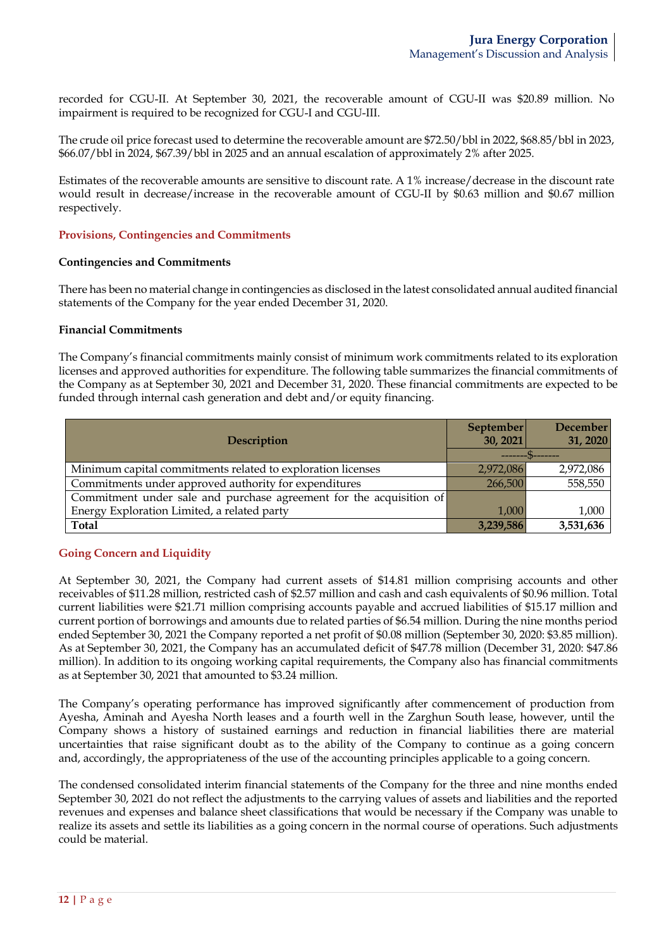recorded for CGU-II. At September 30, 2021, the recoverable amount of CGU-II was \$20.89 million. No impairment is required to be recognized for CGU-I and CGU-III.

The crude oil price forecast used to determine the recoverable amount are \$72.50/bbl in 2022, \$68.85/bbl in 2023, \$66.07/bbl in 2024, \$67.39/bbl in 2025 and an annual escalation of approximately 2% after 2025.

Estimates of the recoverable amounts are sensitive to discount rate. A 1% increase/decrease in the discount rate would result in decrease/increase in the recoverable amount of CGU-II by \$0.63 million and \$0.67 million respectively.

### **Provisions, Contingencies and Commitments**

### **Contingencies and Commitments**

There has been no material change in contingencies as disclosed in the latest consolidated annual audited financial statements of the Company for the year ended December 31, 2020.

### **Financial Commitments**

The Company's financial commitments mainly consist of minimum work commitments related to its exploration licenses and approved authorities for expenditure. The following table summarizes the financial commitments of the Company as at September 30, 2021 and December 31, 2020. These financial commitments are expected to be funded through internal cash generation and debt and/or equity financing.

| <b>Description</b>                                                  | September<br>30, 2021 | December<br>31, 2020 |
|---------------------------------------------------------------------|-----------------------|----------------------|
|                                                                     |                       |                      |
| Minimum capital commitments related to exploration licenses         | 2,972,086             | 2,972,086            |
| Commitments under approved authority for expenditures               | 266,500               | 558,550              |
| Commitment under sale and purchase agreement for the acquisition of |                       |                      |
| Energy Exploration Limited, a related party                         | 1.000                 | 1,000                |
| <b>Total</b>                                                        | 3,239,586             | 3,531,636            |

### **Going Concern and Liquidity**

At September 30, 2021, the Company had current assets of \$14.81 million comprising accounts and other receivables of \$11.28 million, restricted cash of \$2.57 million and cash and cash equivalents of \$0.96 million. Total current liabilities were \$21.71 million comprising accounts payable and accrued liabilities of \$15.17 million and current portion of borrowings and amounts due to related parties of \$6.54 million. During the nine months period ended September 30, 2021 the Company reported a net profit of \$0.08 million (September 30, 2020: \$3.85 million). As at September 30, 2021, the Company has an accumulated deficit of \$47.78 million (December 31, 2020: \$47.86 million). In addition to its ongoing working capital requirements, the Company also has financial commitments as at September 30, 2021 that amounted to \$3.24 million.

The Company's operating performance has improved significantly after commencement of production from Ayesha, Aminah and Ayesha North leases and a fourth well in the Zarghun South lease, however, until the Company shows a history of sustained earnings and reduction in financial liabilities there are material uncertainties that raise significant doubt as to the ability of the Company to continue as a going concern and, accordingly, the appropriateness of the use of the accounting principles applicable to a going concern.

The condensed consolidated interim financial statements of the Company for the three and nine months ended September 30, 2021 do not reflect the adjustments to the carrying values of assets and liabilities and the reported revenues and expenses and balance sheet classifications that would be necessary if the Company was unable to realize its assets and settle its liabilities as a going concern in the normal course of operations. Such adjustments could be material.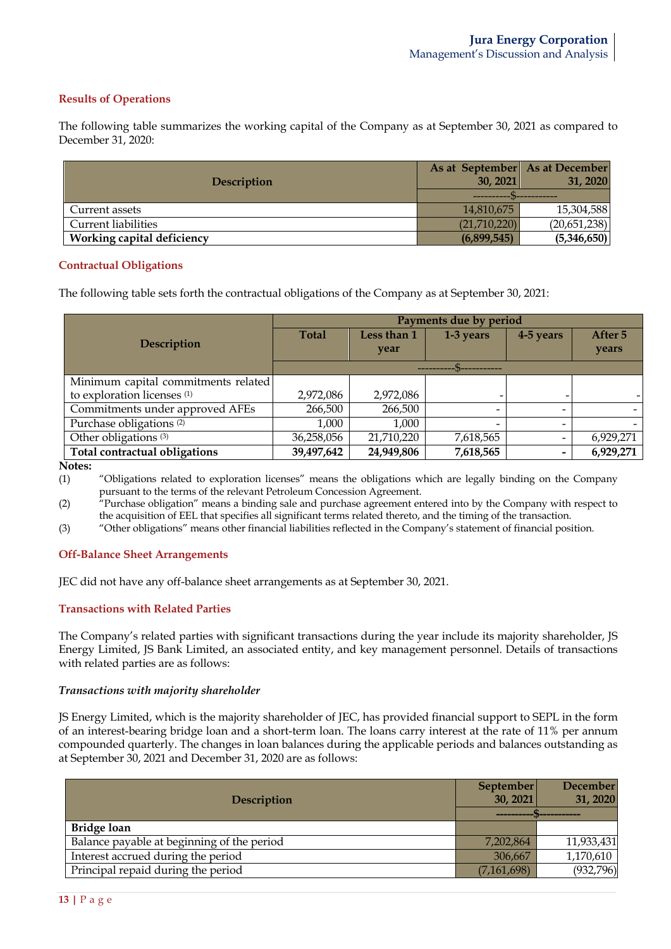### **Results of Operations**

The following table summarizes the working capital of the Company as at September 30, 2021 as compared to December 31, 2020:

| <b>Description</b>                | As at September As at December<br>30, 2021 | 31, 2020     |  |
|-----------------------------------|--------------------------------------------|--------------|--|
|                                   |                                            |              |  |
| Current assets                    | 14,810,675                                 | 15,304,588   |  |
| <b>Current liabilities</b>        | (21,710,220)                               | (20,651,238) |  |
| <b>Working capital deficiency</b> | (6,899,545)                                | (5,346,650)  |  |

#### **Contractual Obligations**

The following table sets forth the contractual obligations of the Company as at September 30, 2021:

|                                        | Payments due by period |             |                          |                          |           |
|----------------------------------------|------------------------|-------------|--------------------------|--------------------------|-----------|
| Description                            | <b>Total</b>           | Less than 1 | 1-3 years                | 4-5 years                | After 5   |
|                                        |                        | year        |                          |                          | years     |
|                                        |                        |             |                          |                          |           |
| Minimum capital commitments related    |                        |             |                          |                          |           |
| to exploration licenses <sup>(1)</sup> | 2,972,086              | 2,972,086   |                          |                          |           |
| Commitments under approved AFEs        | 266,500                | 266,500     | $\overline{\phantom{a}}$ |                          |           |
| Purchase obligations <sup>(2)</sup>    | 1,000                  | 1,000       | $\overline{\phantom{0}}$ | -                        |           |
| Other obligations <sup>(3)</sup>       | 36,258,056             | 21,710,220  | 7,618,565                | $\overline{\phantom{a}}$ | 6,929,271 |
| Total contractual obligations          | 39,497,642             | 24,949,806  | 7,618,565                | $\qquad \qquad$          | 6,929,271 |

**Notes:**

(1) "Obligations related to exploration licenses" means the obligations which are legally binding on the Company pursuant to the terms of the relevant Petroleum Concession Agreement.

(2) "Purchase obligation" means a binding sale and purchase agreement entered into by the Company with respect to the acquisition of EEL that specifies all significant terms related thereto, and the timing of the transaction.

(3) "Other obligations" means other financial liabilities reflected in the Company's statement of financial position.

#### **Off-Balance Sheet Arrangements**

JEC did not have any off-balance sheet arrangements as at September 30, 2021.

#### **Transactions with Related Parties**

The Company's related parties with significant transactions during the year include its majority shareholder, JS Energy Limited, JS Bank Limited, an associated entity, and key management personnel. Details of transactions with related parties are as follows:

#### *Transactions with majority shareholder*

JS Energy Limited, which is the majority shareholder of JEC, has provided financial support to SEPL in the form of an interest-bearing bridge loan and a short-term loan. The loans carry interest at the rate of 11% per annum compounded quarterly. The changes in loan balances during the applicable periods and balances outstanding as at September 30, 2021 and December 31, 2020 are as follows:

| Description                                | September<br>30, 2021 | <b>December</b><br>31, 2020 |
|--------------------------------------------|-----------------------|-----------------------------|
|                                            |                       |                             |
| Bridge loan                                |                       |                             |
| Balance payable at beginning of the period | 7,202,864             | 11,933,431                  |
| Interest accrued during the period         | 306,667               | 1,170,610                   |
| Principal repaid during the period         | (7,161,698)           | (932, 796)                  |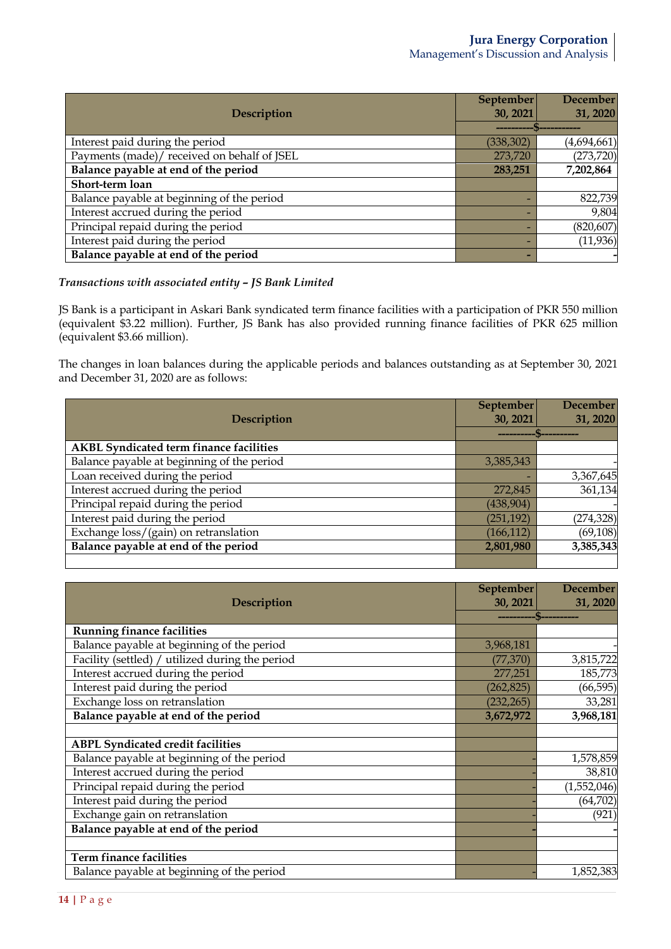|                                             | September  | <b>December</b> |
|---------------------------------------------|------------|-----------------|
| <b>Description</b>                          | 30, 2021   | 31, 2020        |
|                                             |            |                 |
| Interest paid during the period             | (338, 302) | (4,694,661)     |
| Payments (made)/ received on behalf of JSEL | 273,720    | (273, 720)      |
| Balance payable at end of the period        | 283,251    | 7,202,864       |
| Short-term loan                             |            |                 |
| Balance payable at beginning of the period  |            | 822,739         |
| Interest accrued during the period          |            | 9,804           |
| Principal repaid during the period          |            | (820, 607)      |
| Interest paid during the period             |            | (11, 936)       |
| Balance payable at end of the period        |            |                 |

## *Transactions with associated entity – JS Bank Limited*

JS Bank is a participant in Askari Bank syndicated term finance facilities with a participation of PKR 550 million (equivalent \$3.22 million). Further, JS Bank has also provided running finance facilities of PKR 625 million (equivalent \$3.66 million).

The changes in loan balances during the applicable periods and balances outstanding as at September 30, 2021 and December 31, 2020 are as follows:

|                                                | September  | <b>December</b> |
|------------------------------------------------|------------|-----------------|
| Description                                    | 30, 2021   | 31, 2020        |
|                                                |            |                 |
| <b>AKBL Syndicated term finance facilities</b> |            |                 |
| Balance payable at beginning of the period     | 3,385,343  |                 |
| Loan received during the period                |            | 3,367,645       |
| Interest accrued during the period             | 272,845    | 361,134         |
| Principal repaid during the period             | (438, 904) |                 |
| Interest paid during the period                | (251, 192) | (274, 328)      |
| Exchange loss/(gain) on retranslation          | (166, 112) | (69, 108)       |
| Balance payable at end of the period           | 2,801,980  | 3,385,343       |
|                                                |            |                 |

| Description                                     | September<br>30, 2021 | <b>December</b><br>31, 2020 |
|-------------------------------------------------|-----------------------|-----------------------------|
|                                                 |                       |                             |
| <b>Running finance facilities</b>               |                       |                             |
| Balance payable at beginning of the period      | 3,968,181             |                             |
| Facility (settled) / utilized during the period | (77, 370)             | 3,815,722                   |
| Interest accrued during the period              | 277,251               | 185,773                     |
| Interest paid during the period                 | (262, 825)            | (66, 595)                   |
| Exchange loss on retranslation                  | (232, 265)            | 33,281                      |
| Balance payable at end of the period            | 3,672,972             | 3,968,181                   |
|                                                 |                       |                             |
| <b>ABPL Syndicated credit facilities</b>        |                       |                             |
| Balance payable at beginning of the period      |                       | 1,578,859                   |
| Interest accrued during the period              |                       | 38,810                      |
| Principal repaid during the period              |                       | (1,552,046)                 |
| Interest paid during the period                 |                       | (64, 702)                   |
| Exchange gain on retranslation                  |                       | (921)                       |
| Balance payable at end of the period            |                       |                             |
|                                                 |                       |                             |
| <b>Term finance facilities</b>                  |                       |                             |
| Balance payable at beginning of the period      |                       | 1,852,383                   |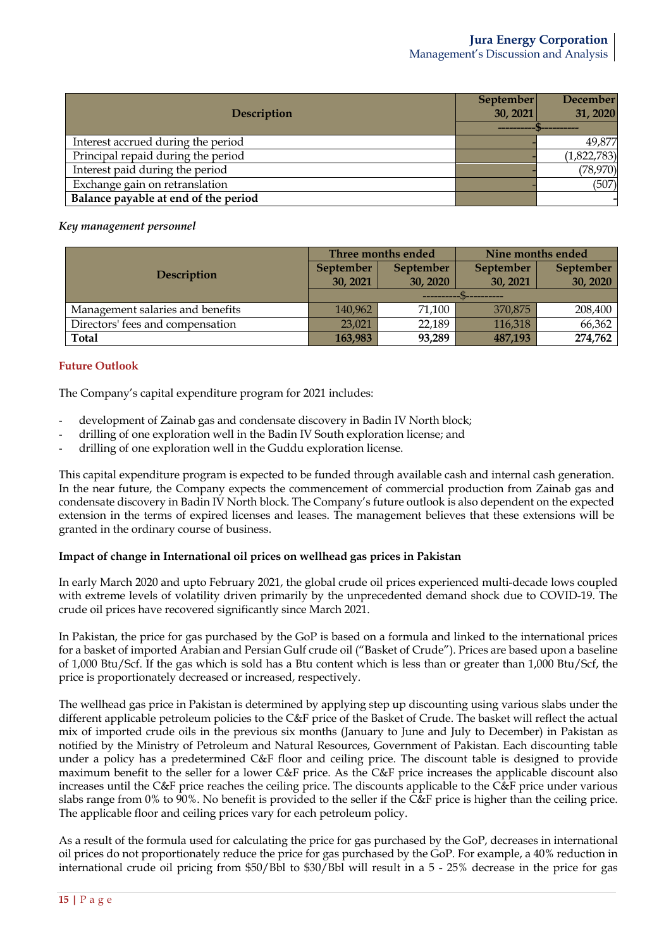|                                      | September | <b>December</b> |
|--------------------------------------|-----------|-----------------|
| Description                          | 30, 2021  | 31, 2020        |
|                                      |           |                 |
| Interest accrued during the period   |           | 49,877          |
| Principal repaid during the period   |           | (1,822,783)     |
| Interest paid during the period      |           | (78, 970)       |
| Exchange gain on retranslation       |           | (507)           |
| Balance payable at end of the period |           |                 |

### *Key management personnel*

| <b>Description</b>               | Three months ended |           | Nine months ended |                  |
|----------------------------------|--------------------|-----------|-------------------|------------------|
|                                  | <b>September</b>   | September | <b>September</b>  | <b>September</b> |
|                                  | 30, 2021           | 30, 2020  | 30, 2021          | 30, 2020         |
|                                  |                    |           |                   |                  |
| Management salaries and benefits | 140,962            | 71,100    | 370,875           | 208,400          |
| Directors' fees and compensation | 23,021             | 22,189    | 116,318           | 66,362           |
| Total                            | 163,983            | 93,289    | 487,193           | 274,762          |

# **Future Outlook**

The Company's capital expenditure program for 2021 includes:

- development of Zainab gas and condensate discovery in Badin IV North block;
- drilling of one exploration well in the Badin IV South exploration license; and
- drilling of one exploration well in the Guddu exploration license.

This capital expenditure program is expected to be funded through available cash and internal cash generation. In the near future, the Company expects the commencement of commercial production from Zainab gas and condensate discovery in Badin IV North block. The Company's future outlook is also dependent on the expected extension in the terms of expired licenses and leases. The management believes that these extensions will be granted in the ordinary course of business.

### **Impact of change in International oil prices on wellhead gas prices in Pakistan**

In early March 2020 and upto February 2021, the global crude oil prices experienced multi-decade lows coupled with extreme levels of volatility driven primarily by the unprecedented demand shock due to COVID-19. The crude oil prices have recovered significantly since March 2021.

In Pakistan, the price for gas purchased by the GoP is based on a formula and linked to the international prices for a basket of imported Arabian and Persian Gulf crude oil ("Basket of Crude"). Prices are based upon a baseline of 1,000 Btu/Scf. If the gas which is sold has a Btu content which is less than or greater than 1,000 Btu/Scf, the price is proportionately decreased or increased, respectively.

The wellhead gas price in Pakistan is determined by applying step up discounting using various slabs under the different applicable petroleum policies to the C&F price of the Basket of Crude. The basket will reflect the actual mix of imported crude oils in the previous six months (January to June and July to December) in Pakistan as notified by the Ministry of Petroleum and Natural Resources, Government of Pakistan. Each discounting table under a policy has a predetermined C&F floor and ceiling price. The discount table is designed to provide maximum benefit to the seller for a lower C&F price. As the C&F price increases the applicable discount also increases until the C&F price reaches the ceiling price. The discounts applicable to the C&F price under various slabs range from 0% to 90%. No benefit is provided to the seller if the C&F price is higher than the ceiling price. The applicable floor and ceiling prices vary for each petroleum policy.

As a result of the formula used for calculating the price for gas purchased by the GoP, decreases in international oil prices do not proportionately reduce the price for gas purchased by the GoP. For example, a 40% reduction in international crude oil pricing from \$50/Bbl to \$30/Bbl will result in a 5 - 25% decrease in the price for gas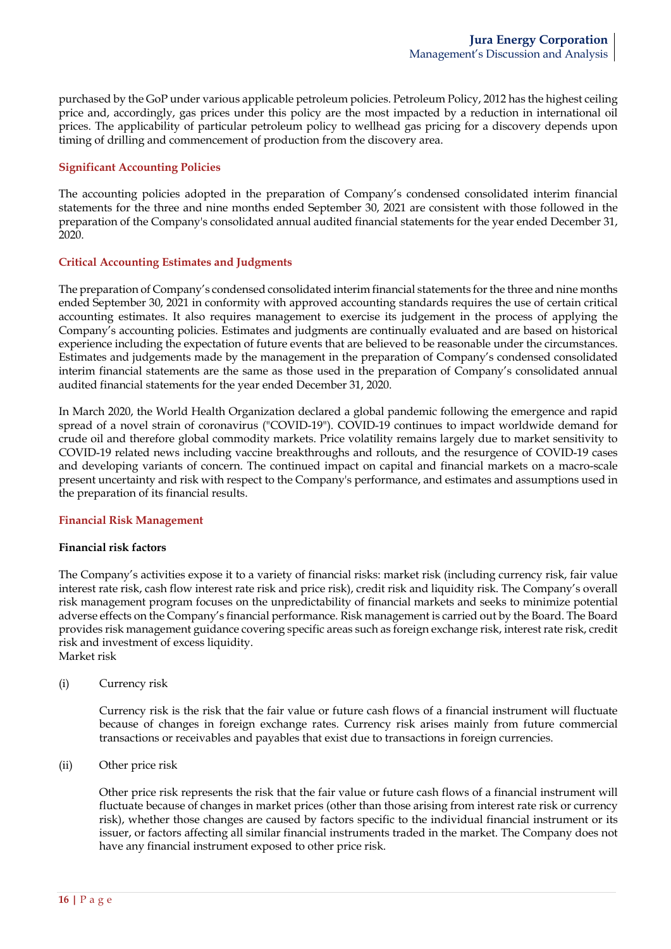purchased by the GoP under various applicable petroleum policies. Petroleum Policy, 2012 has the highest ceiling price and, accordingly, gas prices under this policy are the most impacted by a reduction in international oil prices. The applicability of particular petroleum policy to wellhead gas pricing for a discovery depends upon timing of drilling and commencement of production from the discovery area.

### **Significant Accounting Policies**

The accounting policies adopted in the preparation of Company's condensed consolidated interim financial statements for the three and nine months ended September 30, 2021 are consistent with those followed in the preparation of the Company's consolidated annual audited financial statements for the year ended December 31, 2020.

### **Critical Accounting Estimates and Judgments**

The preparation of Company's condensed consolidated interim financial statements for the three and nine months ended September 30, 2021 in conformity with approved accounting standards requires the use of certain critical accounting estimates. It also requires management to exercise its judgement in the process of applying the Company's accounting policies. Estimates and judgments are continually evaluated and are based on historical experience including the expectation of future events that are believed to be reasonable under the circumstances. Estimates and judgements made by the management in the preparation of Company's condensed consolidated interim financial statements are the same as those used in the preparation of Company's consolidated annual audited financial statements for the year ended December 31, 2020.

In March 2020, the World Health Organization declared a global pandemic following the emergence and rapid spread of a novel strain of coronavirus ("COVID-19"). COVID-19 continues to impact worldwide demand for crude oil and therefore global commodity markets. Price volatility remains largely due to market sensitivity to COVID-19 related news including vaccine breakthroughs and rollouts, and the resurgence of COVID-19 cases and developing variants of concern. The continued impact on capital and financial markets on a macro-scale present uncertainty and risk with respect to the Company's performance, and estimates and assumptions used in the preparation of its financial results.

#### **Financial Risk Management**

#### **Financial risk factors**

The Company's activities expose it to a variety of financial risks: market risk (including currency risk, fair value interest rate risk, cash flow interest rate risk and price risk), credit risk and liquidity risk. The Company's overall risk management program focuses on the unpredictability of financial markets and seeks to minimize potential adverse effects on the Company's financial performance. Risk management is carried out by the Board. The Board provides risk management guidance covering specific areas such as foreign exchange risk, interest rate risk, credit risk and investment of excess liquidity. Market risk

(i) Currency risk

Currency risk is the risk that the fair value or future cash flows of a financial instrument will fluctuate because of changes in foreign exchange rates. Currency risk arises mainly from future commercial transactions or receivables and payables that exist due to transactions in foreign currencies.

(ii) Other price risk

Other price risk represents the risk that the fair value or future cash flows of a financial instrument will fluctuate because of changes in market prices (other than those arising from interest rate risk or currency risk), whether those changes are caused by factors specific to the individual financial instrument or its issuer, or factors affecting all similar financial instruments traded in the market. The Company does not have any financial instrument exposed to other price risk.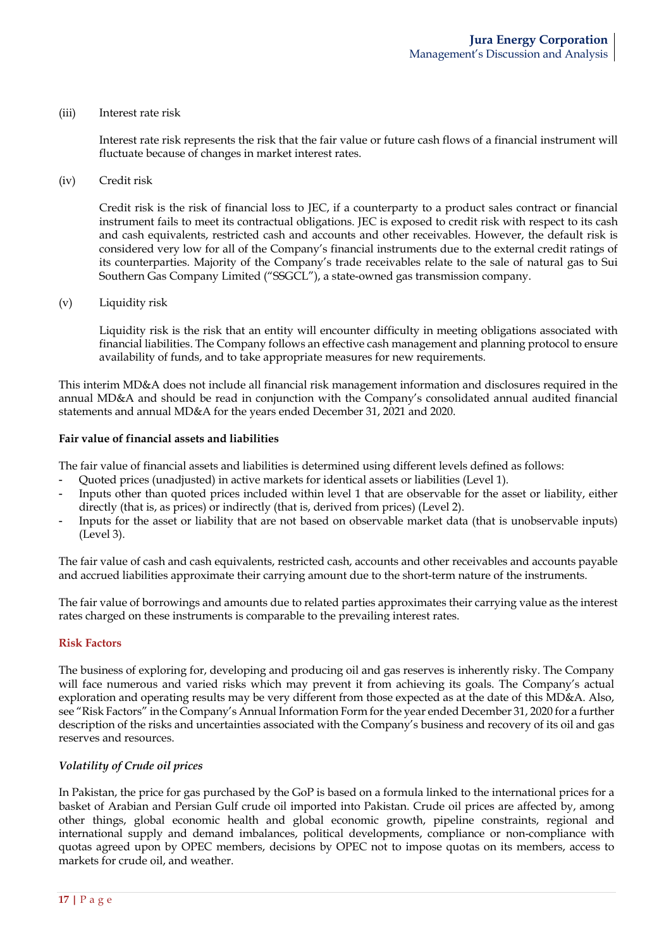#### (iii) Interest rate risk

Interest rate risk represents the risk that the fair value or future cash flows of a financial instrument will fluctuate because of changes in market interest rates.

(iv) Credit risk

Credit risk is the risk of financial loss to JEC, if a counterparty to a product sales contract or financial instrument fails to meet its contractual obligations. JEC is exposed to credit risk with respect to its cash and cash equivalents, restricted cash and accounts and other receivables. However, the default risk is considered very low for all of the Company's financial instruments due to the external credit ratings of its counterparties. Majority of the Company's trade receivables relate to the sale of natural gas to Sui Southern Gas Company Limited ("SSGCL"), a state-owned gas transmission company.

(v) Liquidity risk

Liquidity risk is the risk that an entity will encounter difficulty in meeting obligations associated with financial liabilities. The Company follows an effective cash management and planning protocol to ensure availability of funds, and to take appropriate measures for new requirements.

This interim MD&A does not include all financial risk management information and disclosures required in the annual MD&A and should be read in conjunction with the Company's consolidated annual audited financial statements and annual MD&A for the years ended December 31, 2021 and 2020.

#### **Fair value of financial assets and liabilities**

The fair value of financial assets and liabilities is determined using different levels defined as follows:

- Quoted prices (unadjusted) in active markets for identical assets or liabilities (Level 1).
- Inputs other than quoted prices included within level 1 that are observable for the asset or liability, either directly (that is, as prices) or indirectly (that is, derived from prices) (Level 2).
- Inputs for the asset or liability that are not based on observable market data (that is unobservable inputs) (Level 3).

The fair value of cash and cash equivalents, restricted cash, accounts and other receivables and accounts payable and accrued liabilities approximate their carrying amount due to the short-term nature of the instruments.

The fair value of borrowings and amounts due to related parties approximates their carrying value as the interest rates charged on these instruments is comparable to the prevailing interest rates.

#### **Risk Factors**

The business of exploring for, developing and producing oil and gas reserves is inherently risky. The Company will face numerous and varied risks which may prevent it from achieving its goals. The Company's actual exploration and operating results may be very different from those expected as at the date of this MD&A. Also, see "Risk Factors" in the Company's Annual Information Form for the year ended December 31, 2020 for a further description of the risks and uncertainties associated with the Company's business and recovery of its oil and gas reserves and resources.

#### *Volatility of Crude oil prices*

In Pakistan, the price for gas purchased by the GoP is based on a formula linked to the international prices for a basket of Arabian and Persian Gulf crude oil imported into Pakistan. Crude oil prices are affected by, among other things, global economic health and global economic growth, pipeline constraints, regional and international supply and demand imbalances, political developments, compliance or non-compliance with quotas agreed upon by OPEC members, decisions by OPEC not to impose quotas on its members, access to markets for crude oil, and weather.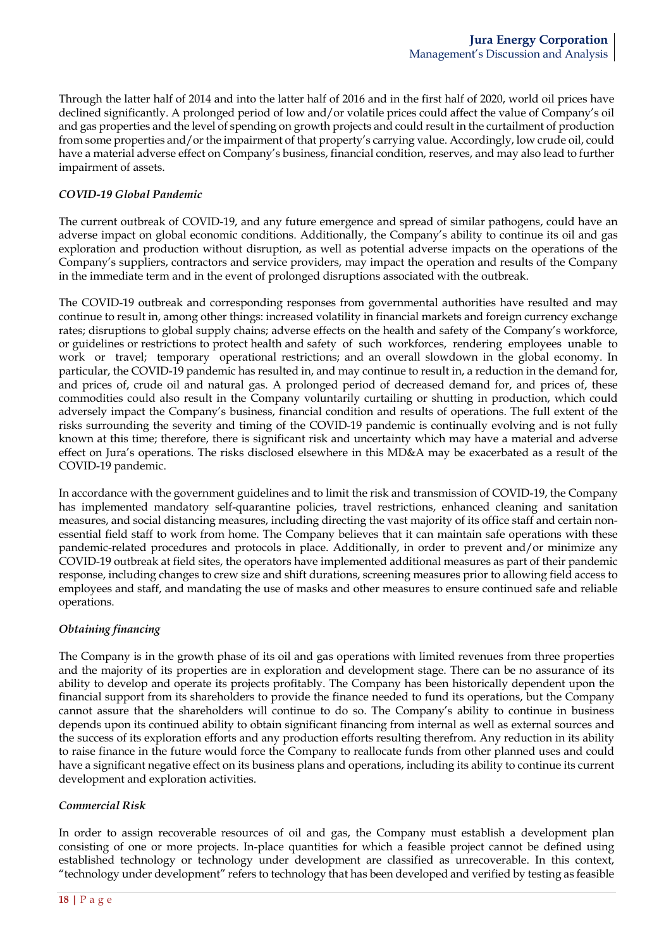Through the latter half of 2014 and into the latter half of 2016 and in the first half of 2020, world oil prices have declined significantly. A prolonged period of low and/or volatile prices could affect the value of Company's oil and gas properties and the level of spending on growth projects and could result in the curtailment of production from some properties and/or the impairment of that property's carrying value. Accordingly, low crude oil, could have a material adverse effect on Company's business, financial condition, reserves, and may also lead to further impairment of assets.

### *COVID-19 Global Pandemic*

The current outbreak of COVID-19, and any future emergence and spread of similar pathogens, could have an adverse impact on global economic conditions. Additionally, the Company's ability to continue its oil and gas exploration and production without disruption, as well as potential adverse impacts on the operations of the Company's suppliers, contractors and service providers, may impact the operation and results of the Company in the immediate term and in the event of prolonged disruptions associated with the outbreak.

The COVID-19 outbreak and corresponding responses from governmental authorities have resulted and may continue to result in, among other things: increased volatility in financial markets and foreign currency exchange rates; disruptions to global supply chains; adverse effects on the health and safety of the Company's workforce, or guidelines or restrictions to protect health and safety of such workforces, rendering employees unable to work or travel; temporary operational restrictions; and an overall slowdown in the global economy. In particular, the COVID-19 pandemic has resulted in, and may continue to result in, a reduction in the demand for, and prices of, crude oil and natural gas. A prolonged period of decreased demand for, and prices of, these commodities could also result in the Company voluntarily curtailing or shutting in production, which could adversely impact the Company's business, financial condition and results of operations. The full extent of the risks surrounding the severity and timing of the COVID-19 pandemic is continually evolving and is not fully known at this time; therefore, there is significant risk and uncertainty which may have a material and adverse effect on Jura's operations. The risks disclosed elsewhere in this MD&A may be exacerbated as a result of the COVID-19 pandemic.

In accordance with the government guidelines and to limit the risk and transmission of COVID-19, the Company has implemented mandatory self-quarantine policies, travel restrictions, enhanced cleaning and sanitation measures, and social distancing measures, including directing the vast majority of its office staff and certain nonessential field staff to work from home. The Company believes that it can maintain safe operations with these pandemic-related procedures and protocols in place. Additionally, in order to prevent and/or minimize any COVID-19 outbreak at field sites, the operators have implemented additional measures as part of their pandemic response, including changes to crew size and shift durations, screening measures prior to allowing field access to employees and staff, and mandating the use of masks and other measures to ensure continued safe and reliable operations.

### *Obtaining financing*

The Company is in the growth phase of its oil and gas operations with limited revenues from three properties and the majority of its properties are in exploration and development stage. There can be no assurance of its ability to develop and operate its projects profitably. The Company has been historically dependent upon the financial support from its shareholders to provide the finance needed to fund its operations, but the Company cannot assure that the shareholders will continue to do so. The Company's ability to continue in business depends upon its continued ability to obtain significant financing from internal as well as external sources and the success of its exploration efforts and any production efforts resulting therefrom. Any reduction in its ability to raise finance in the future would force the Company to reallocate funds from other planned uses and could have a significant negative effect on its business plans and operations, including its ability to continue its current development and exploration activities.

### *Commercial Risk*

In order to assign recoverable resources of oil and gas, the Company must establish a development plan consisting of one or more projects. In-place quantities for which a feasible project cannot be defined using established technology or technology under development are classified as unrecoverable. In this context, "technology under development" refers to technology that has been developed and verified by testing as feasible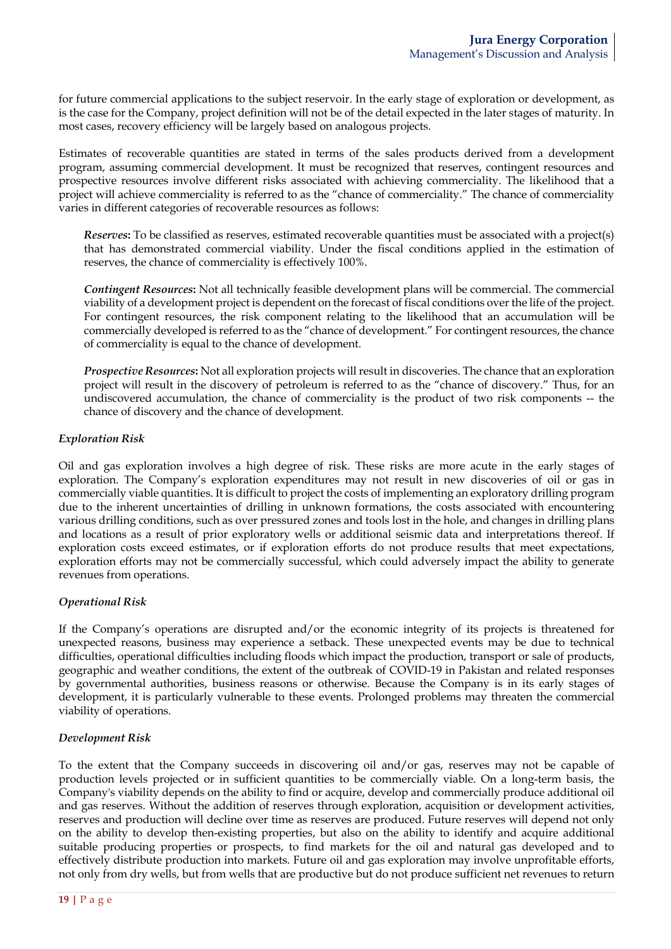for future commercial applications to the subject reservoir. In the early stage of exploration or development, as is the case for the Company, project definition will not be of the detail expected in the later stages of maturity. In most cases, recovery efficiency will be largely based on analogous projects.

Estimates of recoverable quantities are stated in terms of the sales products derived from a development program, assuming commercial development. It must be recognized that reserves, contingent resources and prospective resources involve different risks associated with achieving commerciality. The likelihood that a project will achieve commerciality is referred to as the "chance of commerciality." The chance of commerciality varies in different categories of recoverable resources as follows:

*Reserves***:** To be classified as reserves, estimated recoverable quantities must be associated with a project(s) that has demonstrated commercial viability. Under the fiscal conditions applied in the estimation of reserves, the chance of commerciality is effectively 100%.

*Contingent Resources***:** Not all technically feasible development plans will be commercial. The commercial viability of a development project is dependent on the forecast of fiscal conditions over the life of the project. For contingent resources, the risk component relating to the likelihood that an accumulation will be commercially developed is referred to as the "chance of development." For contingent resources, the chance of commerciality is equal to the chance of development.

*Prospective Resources***:** Not all exploration projects will result in discoveries. The chance that an exploration project will result in the discovery of petroleum is referred to as the "chance of discovery." Thus, for an undiscovered accumulation, the chance of commerciality is the product of two risk components -- the chance of discovery and the chance of development.

### *Exploration Risk*

Oil and gas exploration involves a high degree of risk. These risks are more acute in the early stages of exploration. The Company's exploration expenditures may not result in new discoveries of oil or gas in commercially viable quantities. It is difficult to project the costs of implementing an exploratory drilling program due to the inherent uncertainties of drilling in unknown formations, the costs associated with encountering various drilling conditions, such as over pressured zones and tools lost in the hole, and changes in drilling plans and locations as a result of prior exploratory wells or additional seismic data and interpretations thereof. If exploration costs exceed estimates, or if exploration efforts do not produce results that meet expectations, exploration efforts may not be commercially successful, which could adversely impact the ability to generate revenues from operations.

# *Operational Risk*

If the Company's operations are disrupted and/or the economic integrity of its projects is threatened for unexpected reasons, business may experience a setback. These unexpected events may be due to technical difficulties, operational difficulties including floods which impact the production, transport or sale of products, geographic and weather conditions, the extent of the outbreak of COVID-19 in Pakistan and related responses by governmental authorities, business reasons or otherwise. Because the Company is in its early stages of development, it is particularly vulnerable to these events. Prolonged problems may threaten the commercial viability of operations.

### *Development Risk*

To the extent that the Company succeeds in discovering oil and/or gas, reserves may not be capable of production levels projected or in sufficient quantities to be commercially viable. On a long-term basis, the Company's viability depends on the ability to find or acquire, develop and commercially produce additional oil and gas reserves. Without the addition of reserves through exploration, acquisition or development activities, reserves and production will decline over time as reserves are produced. Future reserves will depend not only on the ability to develop then-existing properties, but also on the ability to identify and acquire additional suitable producing properties or prospects, to find markets for the oil and natural gas developed and to effectively distribute production into markets. Future oil and gas exploration may involve unprofitable efforts, not only from dry wells, but from wells that are productive but do not produce sufficient net revenues to return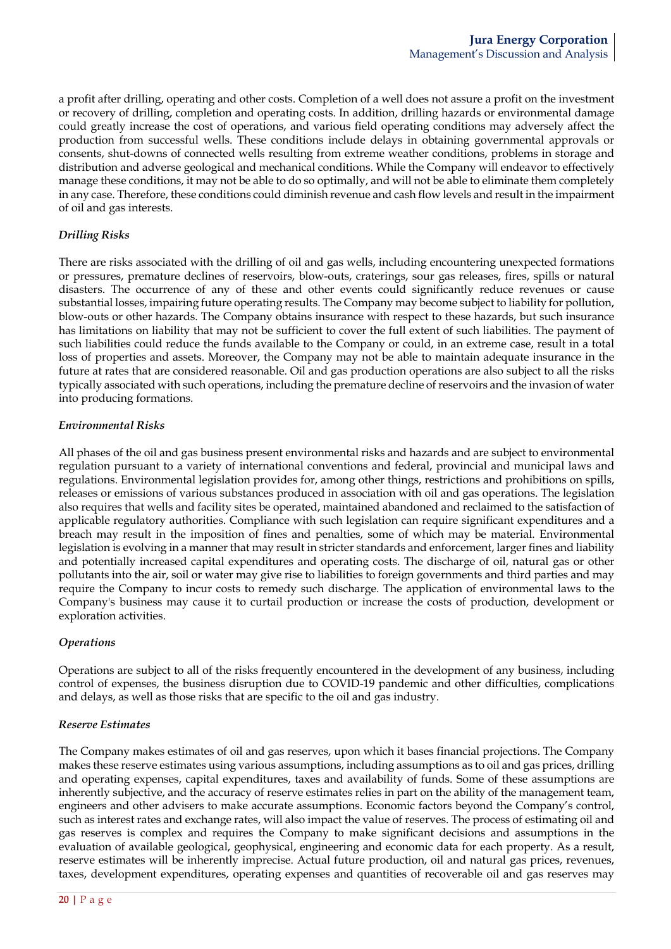a profit after drilling, operating and other costs. Completion of a well does not assure a profit on the investment or recovery of drilling, completion and operating costs. In addition, drilling hazards or environmental damage could greatly increase the cost of operations, and various field operating conditions may adversely affect the production from successful wells. These conditions include delays in obtaining governmental approvals or consents, shut-downs of connected wells resulting from extreme weather conditions, problems in storage and distribution and adverse geological and mechanical conditions. While the Company will endeavor to effectively manage these conditions, it may not be able to do so optimally, and will not be able to eliminate them completely in any case. Therefore, these conditions could diminish revenue and cash flow levels and result in the impairment of oil and gas interests.

# *Drilling Risks*

There are risks associated with the drilling of oil and gas wells, including encountering unexpected formations or pressures, premature declines of reservoirs, blow-outs, craterings, sour gas releases, fires, spills or natural disasters. The occurrence of any of these and other events could significantly reduce revenues or cause substantial losses, impairing future operating results. The Company may become subject to liability for pollution, blow-outs or other hazards. The Company obtains insurance with respect to these hazards, but such insurance has limitations on liability that may not be sufficient to cover the full extent of such liabilities. The payment of such liabilities could reduce the funds available to the Company or could, in an extreme case, result in a total loss of properties and assets. Moreover, the Company may not be able to maintain adequate insurance in the future at rates that are considered reasonable. Oil and gas production operations are also subject to all the risks typically associated with such operations, including the premature decline of reservoirs and the invasion of water into producing formations.

### *Environmental Risks*

All phases of the oil and gas business present environmental risks and hazards and are subject to environmental regulation pursuant to a variety of international conventions and federal, provincial and municipal laws and regulations. Environmental legislation provides for, among other things, restrictions and prohibitions on spills, releases or emissions of various substances produced in association with oil and gas operations. The legislation also requires that wells and facility sites be operated, maintained abandoned and reclaimed to the satisfaction of applicable regulatory authorities. Compliance with such legislation can require significant expenditures and a breach may result in the imposition of fines and penalties, some of which may be material. Environmental legislation is evolving in a manner that may result in stricter standards and enforcement, larger fines and liability and potentially increased capital expenditures and operating costs. The discharge of oil, natural gas or other pollutants into the air, soil or water may give rise to liabilities to foreign governments and third parties and may require the Company to incur costs to remedy such discharge. The application of environmental laws to the Company's business may cause it to curtail production or increase the costs of production, development or exploration activities.

### *Operations*

Operations are subject to all of the risks frequently encountered in the development of any business, including control of expenses, the business disruption due to COVID-19 pandemic and other difficulties, complications and delays, as well as those risks that are specific to the oil and gas industry.

### *Reserve Estimates*

The Company makes estimates of oil and gas reserves, upon which it bases financial projections. The Company makes these reserve estimates using various assumptions, including assumptions as to oil and gas prices, drilling and operating expenses, capital expenditures, taxes and availability of funds. Some of these assumptions are inherently subjective, and the accuracy of reserve estimates relies in part on the ability of the management team, engineers and other advisers to make accurate assumptions. Economic factors beyond the Company's control, such as interest rates and exchange rates, will also impact the value of reserves. The process of estimating oil and gas reserves is complex and requires the Company to make significant decisions and assumptions in the evaluation of available geological, geophysical, engineering and economic data for each property. As a result, reserve estimates will be inherently imprecise. Actual future production, oil and natural gas prices, revenues, taxes, development expenditures, operating expenses and quantities of recoverable oil and gas reserves may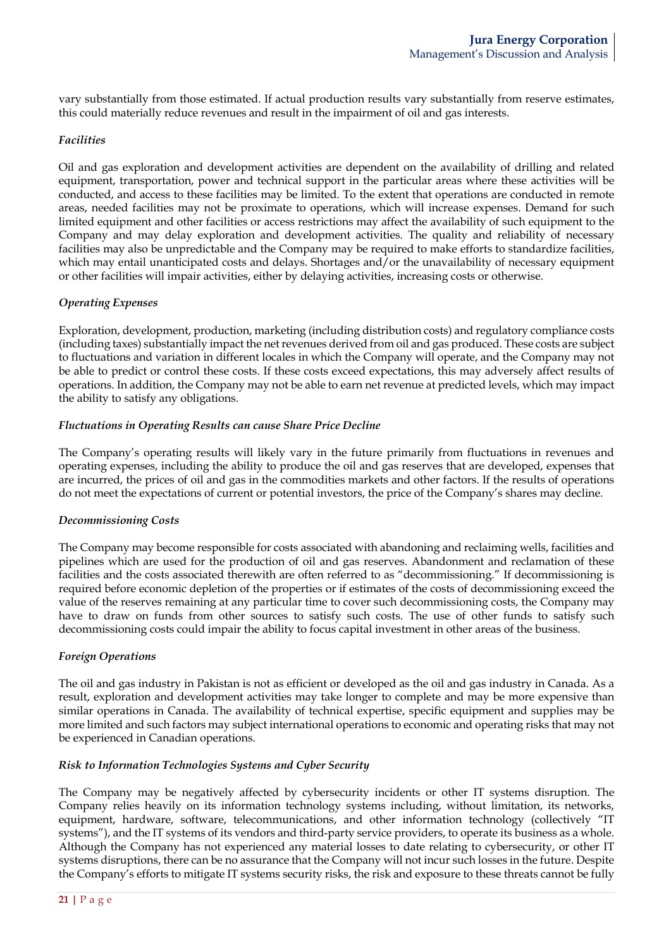vary substantially from those estimated. If actual production results vary substantially from reserve estimates, this could materially reduce revenues and result in the impairment of oil and gas interests.

### *Facilities*

Oil and gas exploration and development activities are dependent on the availability of drilling and related equipment, transportation, power and technical support in the particular areas where these activities will be conducted, and access to these facilities may be limited. To the extent that operations are conducted in remote areas, needed facilities may not be proximate to operations, which will increase expenses. Demand for such limited equipment and other facilities or access restrictions may affect the availability of such equipment to the Company and may delay exploration and development activities. The quality and reliability of necessary facilities may also be unpredictable and the Company may be required to make efforts to standardize facilities, which may entail unanticipated costs and delays. Shortages and/or the unavailability of necessary equipment or other facilities will impair activities, either by delaying activities, increasing costs or otherwise.

### *Operating Expenses*

Exploration, development, production, marketing (including distribution costs) and regulatory compliance costs (including taxes) substantially impact the net revenues derived from oil and gas produced. These costs are subject to fluctuations and variation in different locales in which the Company will operate, and the Company may not be able to predict or control these costs. If these costs exceed expectations, this may adversely affect results of operations. In addition, the Company may not be able to earn net revenue at predicted levels, which may impact the ability to satisfy any obligations.

### *Fluctuations in Operating Results can cause Share Price Decline*

The Company's operating results will likely vary in the future primarily from fluctuations in revenues and operating expenses, including the ability to produce the oil and gas reserves that are developed, expenses that are incurred, the prices of oil and gas in the commodities markets and other factors. If the results of operations do not meet the expectations of current or potential investors, the price of the Company's shares may decline.

#### *Decommissioning Costs*

The Company may become responsible for costs associated with abandoning and reclaiming wells, facilities and pipelines which are used for the production of oil and gas reserves. Abandonment and reclamation of these facilities and the costs associated therewith are often referred to as "decommissioning." If decommissioning is required before economic depletion of the properties or if estimates of the costs of decommissioning exceed the value of the reserves remaining at any particular time to cover such decommissioning costs, the Company may have to draw on funds from other sources to satisfy such costs. The use of other funds to satisfy such decommissioning costs could impair the ability to focus capital investment in other areas of the business.

### *Foreign Operations*

The oil and gas industry in Pakistan is not as efficient or developed as the oil and gas industry in Canada. As a result, exploration and development activities may take longer to complete and may be more expensive than similar operations in Canada. The availability of technical expertise, specific equipment and supplies may be more limited and such factors may subject international operations to economic and operating risks that may not be experienced in Canadian operations.

### *Risk to Information Technologies Systems and Cyber Security*

The Company may be negatively affected by cybersecurity incidents or other IT systems disruption. The Company relies heavily on its information technology systems including, without limitation, its networks, equipment, hardware, software, telecommunications, and other information technology (collectively "IT systems"), and the IT systems of its vendors and third-party service providers, to operate its business as a whole. Although the Company has not experienced any material losses to date relating to cybersecurity, or other IT systems disruptions, there can be no assurance that the Company will not incur such losses in the future. Despite the Company's efforts to mitigate IT systems security risks, the risk and exposure to these threats cannot be fully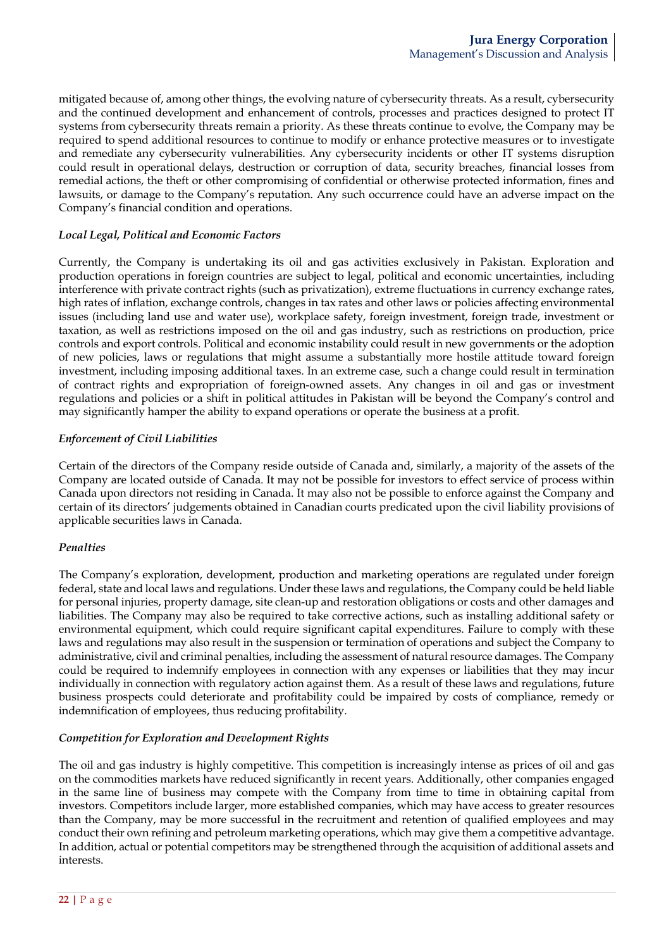mitigated because of, among other things, the evolving nature of cybersecurity threats. As a result, cybersecurity and the continued development and enhancement of controls, processes and practices designed to protect IT systems from cybersecurity threats remain a priority. As these threats continue to evolve, the Company may be required to spend additional resources to continue to modify or enhance protective measures or to investigate and remediate any cybersecurity vulnerabilities. Any cybersecurity incidents or other IT systems disruption could result in operational delays, destruction or corruption of data, security breaches, financial losses from remedial actions, the theft or other compromising of confidential or otherwise protected information, fines and lawsuits, or damage to the Company's reputation. Any such occurrence could have an adverse impact on the Company's financial condition and operations.

## *Local Legal, Political and Economic Factors*

Currently, the Company is undertaking its oil and gas activities exclusively in Pakistan. Exploration and production operations in foreign countries are subject to legal, political and economic uncertainties, including interference with private contract rights (such as privatization), extreme fluctuations in currency exchange rates, high rates of inflation, exchange controls, changes in tax rates and other laws or policies affecting environmental issues (including land use and water use), workplace safety, foreign investment, foreign trade, investment or taxation, as well as restrictions imposed on the oil and gas industry, such as restrictions on production, price controls and export controls. Political and economic instability could result in new governments or the adoption of new policies, laws or regulations that might assume a substantially more hostile attitude toward foreign investment, including imposing additional taxes. In an extreme case, such a change could result in termination of contract rights and expropriation of foreign-owned assets. Any changes in oil and gas or investment regulations and policies or a shift in political attitudes in Pakistan will be beyond the Company's control and may significantly hamper the ability to expand operations or operate the business at a profit.

### *Enforcement of Civil Liabilities*

Certain of the directors of the Company reside outside of Canada and, similarly, a majority of the assets of the Company are located outside of Canada. It may not be possible for investors to effect service of process within Canada upon directors not residing in Canada. It may also not be possible to enforce against the Company and certain of its directors' judgements obtained in Canadian courts predicated upon the civil liability provisions of applicable securities laws in Canada.

### *Penalties*

The Company's exploration, development, production and marketing operations are regulated under foreign federal, state and local laws and regulations. Under these laws and regulations, the Company could be held liable for personal injuries, property damage, site clean-up and restoration obligations or costs and other damages and liabilities. The Company may also be required to take corrective actions, such as installing additional safety or environmental equipment, which could require significant capital expenditures. Failure to comply with these laws and regulations may also result in the suspension or termination of operations and subject the Company to administrative, civil and criminal penalties, including the assessment of natural resource damages. The Company could be required to indemnify employees in connection with any expenses or liabilities that they may incur individually in connection with regulatory action against them. As a result of these laws and regulations, future business prospects could deteriorate and profitability could be impaired by costs of compliance, remedy or indemnification of employees, thus reducing profitability.

# *Competition for Exploration and Development Rights*

The oil and gas industry is highly competitive. This competition is increasingly intense as prices of oil and gas on the commodities markets have reduced significantly in recent years. Additionally, other companies engaged in the same line of business may compete with the Company from time to time in obtaining capital from investors. Competitors include larger, more established companies, which may have access to greater resources than the Company, may be more successful in the recruitment and retention of qualified employees and may conduct their own refining and petroleum marketing operations, which may give them a competitive advantage. In addition, actual or potential competitors may be strengthened through the acquisition of additional assets and interests.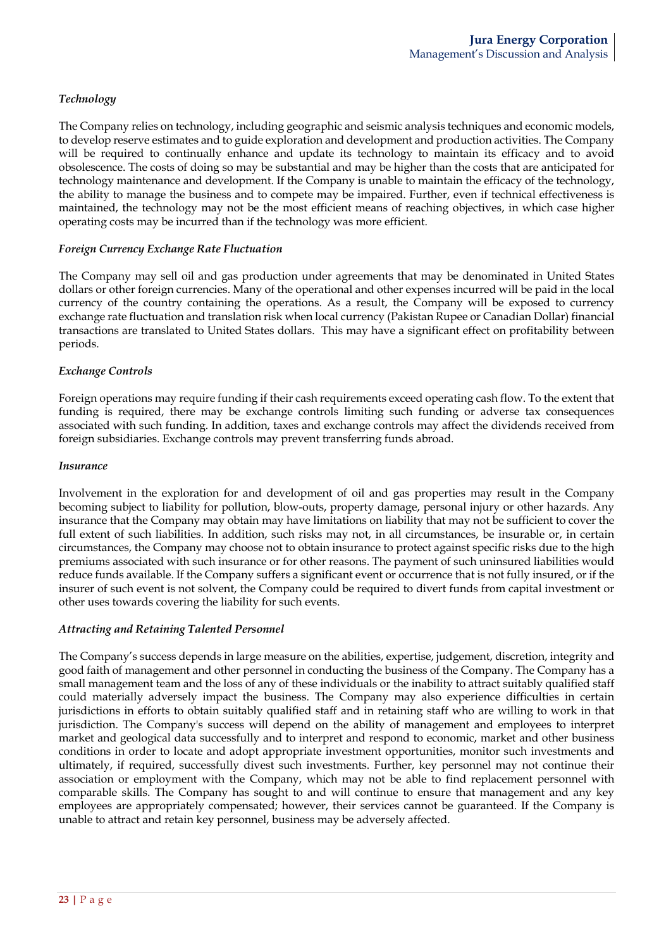# *Technology*

The Company relies on technology, including geographic and seismic analysis techniques and economic models, to develop reserve estimates and to guide exploration and development and production activities. The Company will be required to continually enhance and update its technology to maintain its efficacy and to avoid obsolescence. The costs of doing so may be substantial and may be higher than the costs that are anticipated for technology maintenance and development. If the Company is unable to maintain the efficacy of the technology, the ability to manage the business and to compete may be impaired. Further, even if technical effectiveness is maintained, the technology may not be the most efficient means of reaching objectives, in which case higher operating costs may be incurred than if the technology was more efficient.

### *Foreign Currency Exchange Rate Fluctuation*

The Company may sell oil and gas production under agreements that may be denominated in United States dollars or other foreign currencies. Many of the operational and other expenses incurred will be paid in the local currency of the country containing the operations. As a result, the Company will be exposed to currency exchange rate fluctuation and translation risk when local currency (Pakistan Rupee or Canadian Dollar) financial transactions are translated to United States dollars. This may have a significant effect on profitability between periods.

### *Exchange Controls*

Foreign operations may require funding if their cash requirements exceed operating cash flow. To the extent that funding is required, there may be exchange controls limiting such funding or adverse tax consequences associated with such funding. In addition, taxes and exchange controls may affect the dividends received from foreign subsidiaries. Exchange controls may prevent transferring funds abroad.

#### *Insurance*

Involvement in the exploration for and development of oil and gas properties may result in the Company becoming subject to liability for pollution, blow-outs, property damage, personal injury or other hazards. Any insurance that the Company may obtain may have limitations on liability that may not be sufficient to cover the full extent of such liabilities. In addition, such risks may not, in all circumstances, be insurable or, in certain circumstances, the Company may choose not to obtain insurance to protect against specific risks due to the high premiums associated with such insurance or for other reasons. The payment of such uninsured liabilities would reduce funds available. If the Company suffers a significant event or occurrence that is not fully insured, or if the insurer of such event is not solvent, the Company could be required to divert funds from capital investment or other uses towards covering the liability for such events.

### *Attracting and Retaining Talented Personnel*

The Company's success depends in large measure on the abilities, expertise, judgement, discretion, integrity and good faith of management and other personnel in conducting the business of the Company. The Company has a small management team and the loss of any of these individuals or the inability to attract suitably qualified staff could materially adversely impact the business. The Company may also experience difficulties in certain jurisdictions in efforts to obtain suitably qualified staff and in retaining staff who are willing to work in that jurisdiction. The Company's success will depend on the ability of management and employees to interpret market and geological data successfully and to interpret and respond to economic, market and other business conditions in order to locate and adopt appropriate investment opportunities, monitor such investments and ultimately, if required, successfully divest such investments. Further, key personnel may not continue their association or employment with the Company, which may not be able to find replacement personnel with comparable skills. The Company has sought to and will continue to ensure that management and any key employees are appropriately compensated; however, their services cannot be guaranteed. If the Company is unable to attract and retain key personnel, business may be adversely affected.